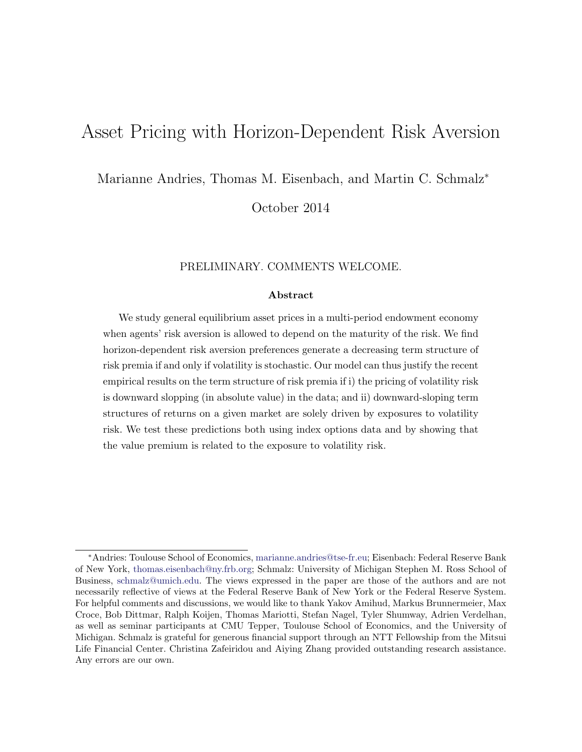# Asset Pricing with Horizon-Dependent Risk Aversion

Marianne Andries, Thomas M. Eisenbach, and Martin C. Schmalz<sup>\*</sup>

October 2014

#### PRELIMINARY. COMMENTS WELCOME.

#### Abstract

We study general equilibrium asset prices in a multi-period endowment economy when agents' risk aversion is allowed to depend on the maturity of the risk. We find horizon-dependent risk aversion preferences generate a decreasing term structure of risk premia if and only if volatility is stochastic. Our model can thus justify the recent empirical results on the term structure of risk premia if i) the pricing of volatility risk is downward slopping (in absolute value) in the data; and ii) downward-sloping term structures of returns on a given market are solely driven by exposures to volatility risk. We test these predictions both using index options data and by showing that the value premium is related to the exposure to volatility risk.

<sup>⇤</sup>Andries: Toulouse School of Economics, [marianne.andries@tse-fr.eu;](mailto:marianne.andries@tse-fr.eu) Eisenbach: Federal Reserve Bank of New York, [thomas.eisenbach@ny.frb.org;](mailto:thomas.eisenbach@ny.frb.org) Schmalz: University of Michigan Stephen M. Ross School of Business, [schmalz@umich.edu.](mailto:schmalz@umich.edu) The views expressed in the paper are those of the authors and are not necessarily reflective of views at the Federal Reserve Bank of New York or the Federal Reserve System. For helpful comments and discussions, we would like to thank Yakov Amihud, Markus Brunnermeier, Max Croce, Bob Dittmar, Ralph Koijen, Thomas Mariotti, Stefan Nagel, Tyler Shumway, Adrien Verdelhan, as well as seminar participants at CMU Tepper, Toulouse School of Economics, and the University of Michigan. Schmalz is grateful for generous financial support through an NTT Fellowship from the Mitsui Life Financial Center. Christina Zafeiridou and Aiying Zhang provided outstanding research assistance. Any errors are our own.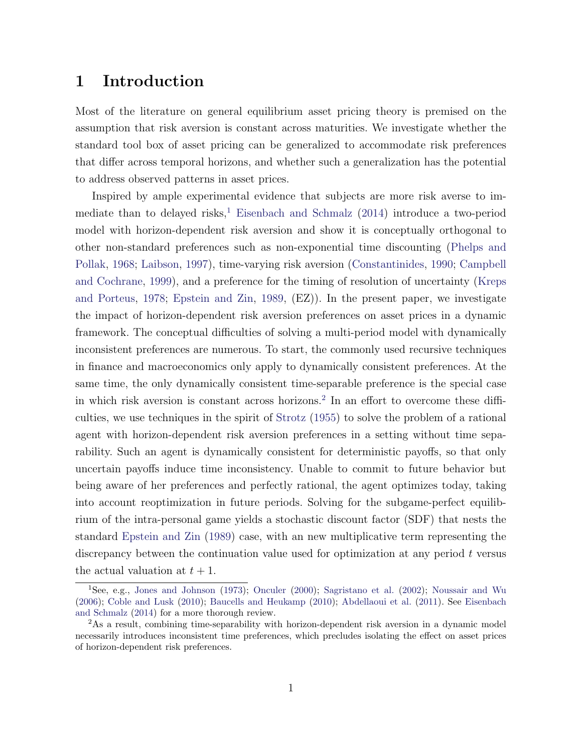# 1 Introduction

Most of the literature on general equilibrium asset pricing theory is premised on the assumption that risk aversion is constant across maturities. We investigate whether the standard tool box of asset pricing can be generalized to accommodate risk preferences that differ across temporal horizons, and whether such a generalization has the potential to address observed patterns in asset prices.

Inspired by ample experimental evidence that subjects are more risk averse to im-mediate than to delayed risks,<sup>[1](#page-1-0)</sup> [Eisenbach and Schmalz](#page-26-0)  $(2014)$  introduce a two-period model with horizon-dependent risk aversion and show it is conceptually orthogonal to other non-standard preferences such as non-exponential time discounting [\(Phelps and](#page-28-0) [Pollak,](#page-28-0) [1968;](#page-28-0) [Laibson,](#page-27-0) [1997\)](#page-27-0), time-varying risk aversion [\(Constantinides,](#page-25-0) [1990;](#page-25-0) [Campbell](#page-25-1) [and Cochrane,](#page-25-1) [1999\)](#page-25-1), and a preference for the timing of resolution of uncertainty [\(Kreps](#page-27-1) [and Porteus,](#page-27-1) [1978;](#page-27-1) [Epstein and Zin,](#page-26-1) [1989,](#page-26-1) (EZ)). In the present paper, we investigate the impact of horizon-dependent risk aversion preferences on asset prices in a dynamic framework. The conceptual difficulties of solving a multi-period model with dynamically inconsistent preferences are numerous. To start, the commonly used recursive techniques in finance and macroeconomics only apply to dynamically consistent preferences. At the same time, the only dynamically consistent time-separable preference is the special case in which risk aversion is constant across horizons.<sup>[2](#page-1-1)</sup> In an effort to overcome these difficulties, we use techniques in the spirit of [Strotz](#page-28-1) [\(1955\)](#page-28-1) to solve the problem of a rational agent with horizon-dependent risk aversion preferences in a setting without time separability. Such an agent is dynamically consistent for deterministic payoffs, so that only uncertain payoffs induce time inconsistency. Unable to commit to future behavior but being aware of her preferences and perfectly rational, the agent optimizes today, taking into account reoptimization in future periods. Solving for the subgame-perfect equilibrium of the intra-personal game yields a stochastic discount factor (SDF) that nests the standard [Epstein and Zin](#page-26-1) [\(1989\)](#page-26-1) case, with an new multiplicative term representing the discrepancy between the continuation value used for optimization at any period *t* versus the actual valuation at  $t + 1$ .

<span id="page-1-0"></span><sup>1</sup>See, e.g., [Jones and Johnson](#page-27-2) [\(1973\)](#page-27-2); [Onculer](#page-27-3) [\(2000\)](#page-27-3); [Sagristano et al.](#page-28-2) [\(2002\)](#page-28-2); [Noussair and Wu](#page-27-4) [\(2006\)](#page-27-4); [Coble and Lusk](#page-25-2) [\(2010\)](#page-25-2); [Baucells and Heukamp](#page-24-0) [\(2010\)](#page-24-0); [Abdellaoui et al.](#page-24-1) [\(2011\)](#page-24-1). See [Eisenbach](#page-26-0) [and Schmalz](#page-26-0) [\(2014\)](#page-26-0) for a more thorough review.

<span id="page-1-1"></span><sup>2</sup>As a result, combining time-separability with horizon-dependent risk aversion in a dynamic model necessarily introduces inconsistent time preferences, which precludes isolating the effect on asset prices of horizon-dependent risk preferences.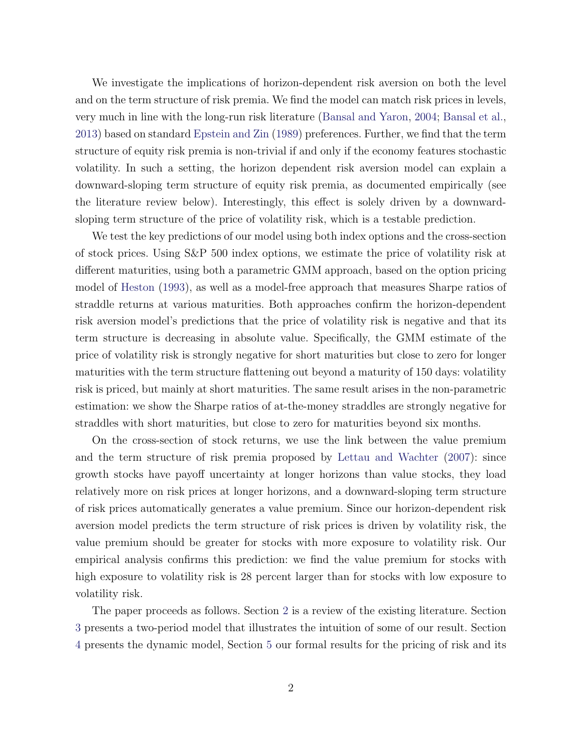We investigate the implications of horizon-dependent risk aversion on both the level and on the term structure of risk premia. We find the model can match risk prices in levels, very much in line with the long-run risk literature [\(Bansal and Yaron,](#page-24-2) [2004;](#page-24-2) [Bansal et al.,](#page-24-3) [2013\)](#page-24-3) based on standard [Epstein and Zin](#page-26-1) [\(1989\)](#page-26-1) preferences. Further, we find that the term structure of equity risk premia is non-trivial if and only if the economy features stochastic volatility. In such a setting, the horizon dependent risk aversion model can explain a downward-sloping term structure of equity risk premia, as documented empirically (see the literature review below). Interestingly, this effect is solely driven by a downwardsloping term structure of the price of volatility risk, which is a testable prediction.

We test the key predictions of our model using both index options and the cross-section of stock prices. Using S&P 500 index options, we estimate the price of volatility risk at different maturities, using both a parametric GMM approach, based on the option pricing model of [Heston](#page-26-2) [\(1993\)](#page-26-2), as well as a model-free approach that measures Sharpe ratios of straddle returns at various maturities. Both approaches confirm the horizon-dependent risk aversion model's predictions that the price of volatility risk is negative and that its term structure is decreasing in absolute value. Specifically, the GMM estimate of the price of volatility risk is strongly negative for short maturities but close to zero for longer maturities with the term structure flattening out beyond a maturity of 150 days: volatility risk is priced, but mainly at short maturities. The same result arises in the non-parametric estimation: we show the Sharpe ratios of at-the-money straddles are strongly negative for straddles with short maturities, but close to zero for maturities beyond six months.

On the cross-section of stock returns, we use the link between the value premium and the term structure of risk premia proposed by [Lettau and Wachter](#page-27-5) [\(2007\)](#page-27-5): since growth stocks have payoff uncertainty at longer horizons than value stocks, they load relatively more on risk prices at longer horizons, and a downward-sloping term structure of risk prices automatically generates a value premium. Since our horizon-dependent risk aversion model predicts the term structure of risk prices is driven by volatility risk, the value premium should be greater for stocks with more exposure to volatility risk. Our empirical analysis confirms this prediction: we find the value premium for stocks with high exposure to volatility risk is 28 percent larger than for stocks with low exposure to volatility risk.

The paper proceeds as follows. Section [2](#page-3-0) is a review of the existing literature. Section [3](#page-5-0) presents a two-period model that illustrates the intuition of some of our result. Section [4](#page-6-0) presents the dynamic model, Section [5](#page-8-0) our formal results for the pricing of risk and its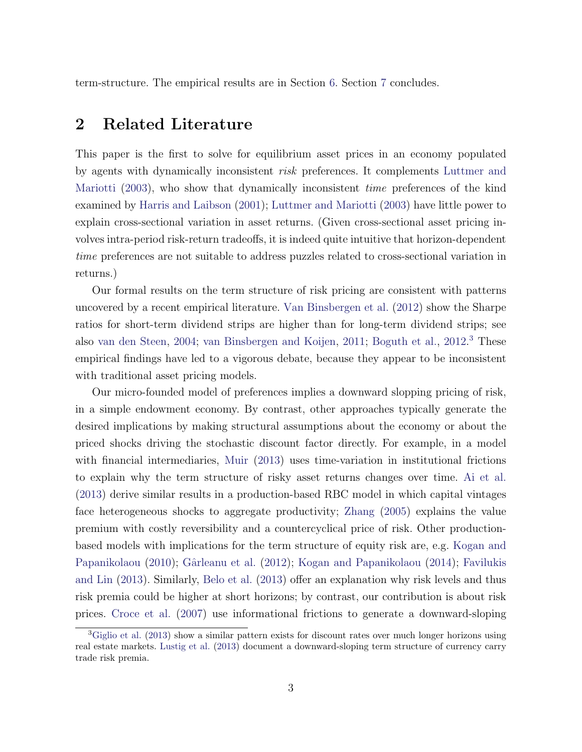term-structure. The empirical results are in Section [6.](#page-14-0) Section [7](#page-23-0) concludes.

# <span id="page-3-0"></span>2 Related Literature

This paper is the first to solve for equilibrium asset prices in an economy populated by agents with dynamically inconsistent *risk* preferences. It complements [Luttmer and](#page-27-6) [Mariotti](#page-27-6) [\(2003\)](#page-27-6), who show that dynamically inconsistent *time* preferences of the kind examined by [Harris and Laibson](#page-26-3) [\(2001\)](#page-26-3); [Luttmer and Mariotti](#page-27-6) [\(2003\)](#page-27-6) have little power to explain cross-sectional variation in asset returns. (Given cross-sectional asset pricing involves intra-period risk-return tradeoffs, it is indeed quite intuitive that horizon-dependent *time* preferences are not suitable to address puzzles related to cross-sectional variation in returns.)

Our formal results on the term structure of risk pricing are consistent with patterns uncovered by a recent empirical literature. [Van Binsbergen et al.](#page-24-4) [\(2012\)](#page-24-4) show the Sharpe ratios for short-term dividend strips are higher than for long-term dividend strips; see also [van den Steen,](#page-28-3) [2004;](#page-28-3) [van Binsbergen and Koijen,](#page-25-3) [2011;](#page-25-3) [Boguth et al.,](#page-25-4) [2012.](#page-25-4) [3](#page-3-1) These empirical findings have led to a vigorous debate, because they appear to be inconsistent with traditional asset pricing models.

Our micro-founded model of preferences implies a downward slopping pricing of risk, in a simple endowment economy. By contrast, other approaches typically generate the desired implications by making structural assumptions about the economy or about the priced shocks driving the stochastic discount factor directly. For example, in a model with financial intermediaries, [Muir](#page-27-7) [\(2013\)](#page-27-7) uses time-variation in institutional frictions to explain why the term structure of risky asset returns changes over time. [Ai et al.](#page-24-5) [\(2013\)](#page-24-5) derive similar results in a production-based RBC model in which capital vintages face heterogeneous shocks to aggregate productivity; [Zhang](#page-28-4) [\(2005\)](#page-28-4) explains the value premium with costly reversibility and a countercyclical price of risk. Other productionbased models with implications for the term structure of equity risk are, e.g. [Kogan and](#page-27-8) [Papanikolaou](#page-27-8) [\(2010\)](#page-27-8); Gârleanu et al. [\(2012\)](#page-26-4); [Kogan and Papanikolaou](#page-27-9) [\(2014\)](#page-27-9); [Favilukis](#page-26-5) [and Lin](#page-26-5)  $(2013)$ . Similarly, [Belo et al.](#page-24-6)  $(2013)$  offer an explanation why risk levels and thus risk premia could be higher at short horizons; by contrast, our contribution is about risk prices. [Croce et al.](#page-26-6) [\(2007\)](#page-26-6) use informational frictions to generate a downward-sloping

<span id="page-3-1"></span><sup>&</sup>lt;sup>3</sup>[Giglio et al.](#page-26-7) [\(2013\)](#page-26-7) show a similar pattern exists for discount rates over much longer horizons using real estate markets. [Lustig et al.](#page-27-10) [\(2013\)](#page-27-10) document a downward-sloping term structure of currency carry trade risk premia.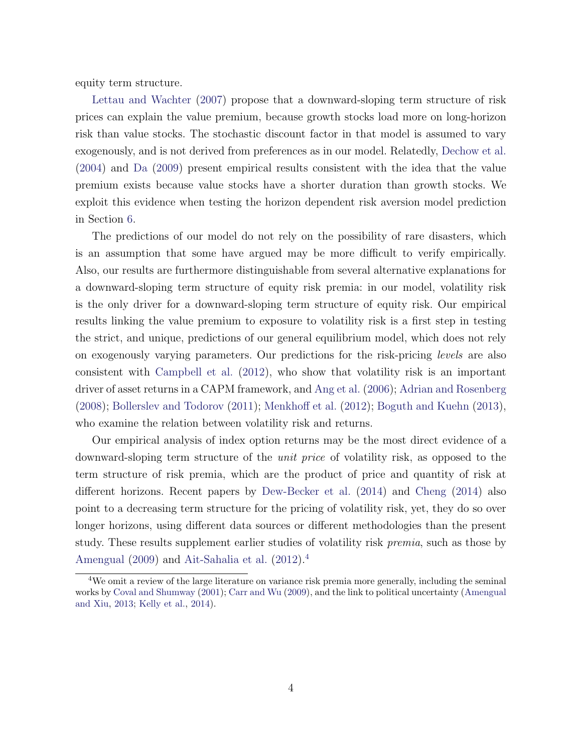equity term structure.

[Lettau and Wachter](#page-27-5) [\(2007\)](#page-27-5) propose that a downward-sloping term structure of risk prices can explain the value premium, because growth stocks load more on long-horizon risk than value stocks. The stochastic discount factor in that model is assumed to vary exogenously, and is not derived from preferences as in our model. Relatedly, [Dechow et al.](#page-26-8) [\(2004\)](#page-26-8) and [Da](#page-26-9) [\(2009\)](#page-26-9) present empirical results consistent with the idea that the value premium exists because value stocks have a shorter duration than growth stocks. We exploit this evidence when testing the horizon dependent risk aversion model prediction in Section [6.](#page-14-0)

The predictions of our model do not rely on the possibility of rare disasters, which is an assumption that some have argued may be more difficult to verify empirically. Also, our results are furthermore distinguishable from several alternative explanations for a downward-sloping term structure of equity risk premia: in our model, volatility risk is the only driver for a downward-sloping term structure of equity risk. Our empirical results linking the value premium to exposure to volatility risk is a first step in testing the strict, and unique, predictions of our general equilibrium model, which does not rely on exogenously varying parameters. Our predictions for the risk-pricing *levels* are also consistent with [Campbell et al.](#page-25-5) [\(2012\)](#page-25-5), who show that volatility risk is an important driver of asset returns in a CAPM framework, and [Ang et al.](#page-24-7) [\(2006\)](#page-24-7); [Adrian and Rosenberg](#page-24-8)  $(2008)$ ; [Bollerslev and Todorov](#page-25-6)  $(2011)$ ; [Menkho](#page-27-11)ff et al.  $(2012)$ ; [Boguth and Kuehn](#page-25-7)  $(2013)$ , who examine the relation between volatility risk and returns.

Our empirical analysis of index option returns may be the most direct evidence of a downward-sloping term structure of the *unit price* of volatility risk, as opposed to the term structure of risk premia, which are the product of price and quantity of risk at different horizons. Recent papers by [Dew-Becker et al.](#page-26-10)  $(2014)$  and [Cheng](#page-25-8)  $(2014)$  also point to a decreasing term structure for the pricing of volatility risk, yet, they do so over longer horizons, using different data sources or different methodologies than the present study. These results supplement earlier studies of volatility risk *premia*, such as those by [Amengual](#page-24-9) [\(2009\)](#page-24-9) and [Ait-Sahalia et al.](#page-24-10) [\(2012\)](#page-24-10).[4](#page-4-0)

<span id="page-4-0"></span><sup>4</sup>We omit a review of the large literature on variance risk premia more generally, including the seminal works by [Coval and Shumway](#page-26-11) [\(2001\)](#page-26-11); [Carr and Wu](#page-25-9) [\(2009\)](#page-25-9), and the link to political uncertainty [\(Amengual](#page-24-11) [and Xiu,](#page-24-11) [2013;](#page-24-11) [Kelly et al.,](#page-27-12) [2014\)](#page-27-12).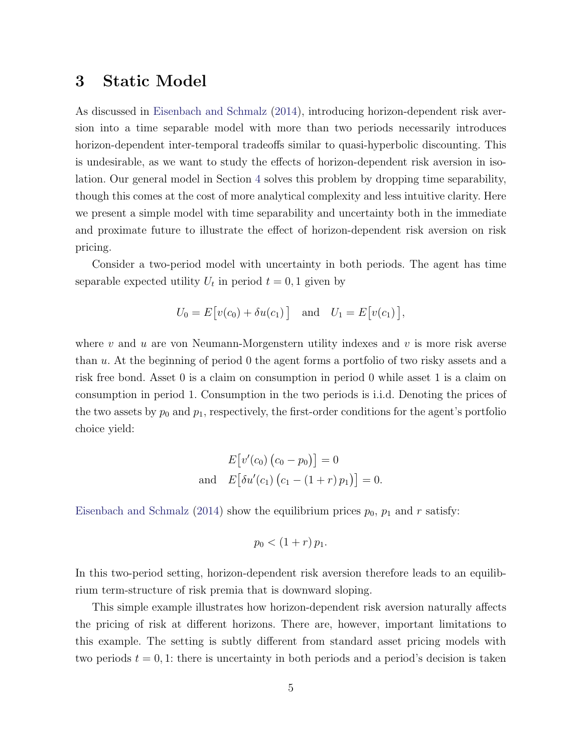# <span id="page-5-0"></span>3 Static Model

As discussed in [Eisenbach and Schmalz](#page-26-0) [\(2014\)](#page-26-0), introducing horizon-dependent risk aversion into a time separable model with more than two periods necessarily introduces horizon-dependent inter-temporal tradeoffs similar to quasi-hyperbolic discounting. This is undesirable, as we want to study the effects of horizon-dependent risk aversion in isolation. Our general model in Section [4](#page-6-0) solves this problem by dropping time separability, though this comes at the cost of more analytical complexity and less intuitive clarity. Here we present a simple model with time separability and uncertainty both in the immediate and proximate future to illustrate the effect of horizon-dependent risk aversion on risk pricing.

Consider a two-period model with uncertainty in both periods. The agent has time separable expected utility  $U_t$  in period  $t = 0, 1$  given by

$$
U_0 = E[v(c_0) + \delta u(c_1)] \text{ and } U_1 = E[v(c_1)],
$$

where *v* and *u* are von Neumann-Morgenstern utility indexes and *v* is more risk averse than *u*. At the beginning of period 0 the agent forms a portfolio of two risky assets and a risk free bond. Asset 0 is a claim on consumption in period 0 while asset 1 is a claim on consumption in period 1. Consumption in the two periods is i.i.d. Denoting the prices of the two assets by  $p_0$  and  $p_1$ , respectively, the first-order conditions for the agent's portfolio choice yield:

$$
E[v'(c_0) (c_0 - p_0)] = 0
$$
  
and 
$$
E[\delta u'(c_1) (c_1 - (1+r) p_1)] = 0.
$$

[Eisenbach and Schmalz](#page-26-0) [\(2014\)](#page-26-0) show the equilibrium prices  $p_0$ ,  $p_1$  and  $r$  satisfy:

$$
p_0 < (1+r) p_1.
$$

In this two-period setting, horizon-dependent risk aversion therefore leads to an equilibrium term-structure of risk premia that is downward sloping.

This simple example illustrates how horizon-dependent risk aversion naturally affects the pricing of risk at different horizons. There are, however, important limitations to this example. The setting is subtly different from standard asset pricing models with two periods  $t = 0, 1$ : there is uncertainty in both periods and a period's decision is taken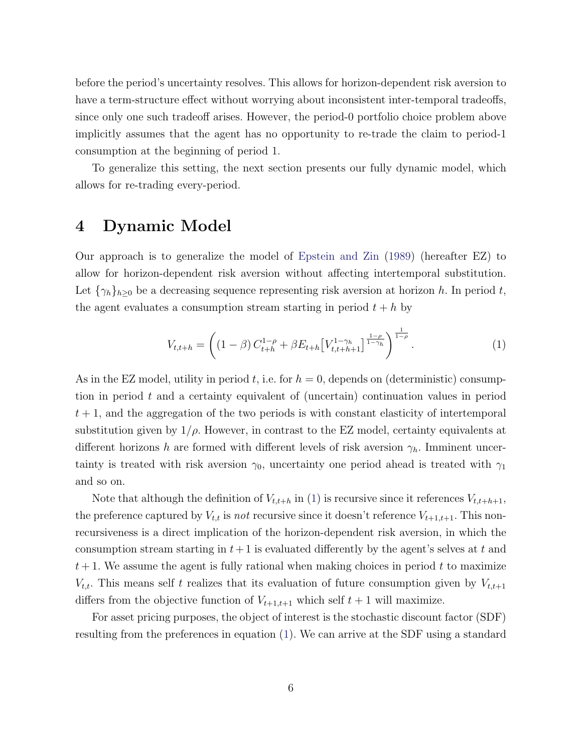before the period's uncertainty resolves. This allows for horizon-dependent risk aversion to have a term-structure effect without worrying about inconsistent inter-temporal tradeoffs, since only one such tradeoff arises. However, the period-0 portfolio choice problem above implicitly assumes that the agent has no opportunity to re-trade the claim to period-1 consumption at the beginning of period 1.

To generalize this setting, the next section presents our fully dynamic model, which allows for re-trading every-period.

## <span id="page-6-0"></span>4 Dynamic Model

Our approach is to generalize the model of [Epstein and Zin](#page-26-1) [\(1989\)](#page-26-1) (hereafter EZ) to allow for horizon-dependent risk aversion without affecting intertemporal substitution. Let  $\{\gamma_h\}_{h\geq 0}$  be a decreasing sequence representing risk aversion at horizon *h*. In period *t*, the agent evaluates a consumption stream starting in period  $t + h$  by

<span id="page-6-1"></span>
$$
V_{t,t+h} = \left( (1 - \beta) C_{t+h}^{1-\rho} + \beta E_{t+h} \left[ V_{t,t+h+1}^{1-\gamma_h} \right]^{\frac{1-\rho}{1-\gamma_h}} \right)^{\frac{1}{1-\rho}}.
$$
 (1)

As in the EZ model, utility in period  $t$ , i.e. for  $h = 0$ , depends on (deterministic) consumption in period *t* and a certainty equivalent of (uncertain) continuation values in period  $t + 1$ , and the aggregation of the two periods is with constant elasticity of intertemporal substitution given by  $1/\rho$ . However, in contrast to the EZ model, certainty equivalents at different horizons *h* are formed with different levels of risk aversion  $\gamma_h$ . Imminent uncertainty is treated with risk aversion  $\gamma_0$ , uncertainty one period ahead is treated with  $\gamma_1$ and so on.

Note that although the definition of  $V_{t,t+h}$  in [\(1\)](#page-6-1) is recursive since it references  $V_{t,t+h+1}$ , the preference captured by  $V_{t,t}$  is *not* recursive since it doesn't reference  $V_{t+1,t+1}$ . This nonrecursiveness is a direct implication of the horizon-dependent risk aversion, in which the consumption stream starting in  $t + 1$  is evaluated differently by the agent's selves at  $t$  and  $t+1$ . We assume the agent is fully rational when making choices in period  $t$  to maximize  $V_{t,t}$ . This means self *t* realizes that its evaluation of future consumption given by  $V_{t,t+1}$ differs from the objective function of  $V_{t+1,t+1}$  which self  $t+1$  will maximize.

For asset pricing purposes, the object of interest is the stochastic discount factor (SDF) resulting from the preferences in equation [\(1\)](#page-6-1). We can arrive at the SDF using a standard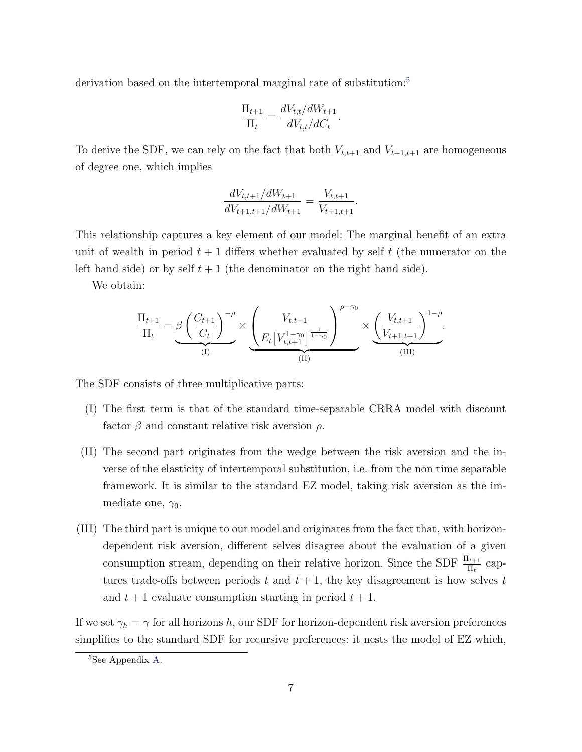derivation based on the intertemporal marginal rate of substitution:<sup>[5](#page-7-0)</sup>

$$
\frac{\Pi_{t+1}}{\Pi_t} = \frac{dV_{t,t}/dW_{t+1}}{dV_{t,t}/dC_t}.
$$

To derive the SDF, we can rely on the fact that both  $V_{t,t+1}$  and  $V_{t+1,t+1}$  are homogeneous of degree one, which implies

$$
\frac{dV_{t,t+1}/dW_{t+1}}{dV_{t+1,t+1}/dW_{t+1}} = \frac{V_{t,t+1}}{V_{t+1,t+1}}.
$$

This relationship captures a key element of our model: The marginal benefit of an extra unit of wealth in period  $t + 1$  differs whether evaluated by self  $t$  (the numerator on the left hand side) or by self  $t + 1$  (the denominator on the right hand side).

We obtain:

$$
\frac{\Pi_{t+1}}{\Pi_t} = \beta \underbrace{\left(\frac{C_{t+1}}{C_t}\right)^{-\rho}}_{\text{(I)}} \times \underbrace{\left(\frac{V_{t,t+1}}{E_t \left[V_{t,t+1}^{1-\gamma_0}\right]^{\frac{1}{1-\gamma_0}}}\right)}_{\text{(II)}} \times \underbrace{\left(\frac{V_{t,t+1}}{V_{t+1,t+1}}\right)^{1-\rho}}_{\text{(III)}}.
$$

The SDF consists of three multiplicative parts:

- (I) The first term is that of the standard time-separable CRRA model with discount factor  $\beta$  and constant relative risk aversion  $\rho$ .
- (II) The second part originates from the wedge between the risk aversion and the inverse of the elasticity of intertemporal substitution, i.e. from the non time separable framework. It is similar to the standard EZ model, taking risk aversion as the immediate one,  $\gamma_0$ .
- (III) The third part is unique to our model and originates from the fact that, with horizondependent risk aversion, different selves disagree about the evaluation of a given consumption stream, depending on their relative horizon. Since the SDF  $\frac{\Pi_{t+1}}{\Pi_t}$  captures trade-offs between periods  $t$  and  $t + 1$ , the key disagreement is how selves  $t$ and  $t+1$  evaluate consumption starting in period  $t+1$ .

If we set  $\gamma_h = \gamma$  for all horizons *h*, our SDF for horizon-dependent risk aversion preferences simplifies to the standard SDF for recursive preferences: it nests the model of EZ which,

<span id="page-7-0"></span><sup>5</sup>See Appendix [A.](#page-29-0)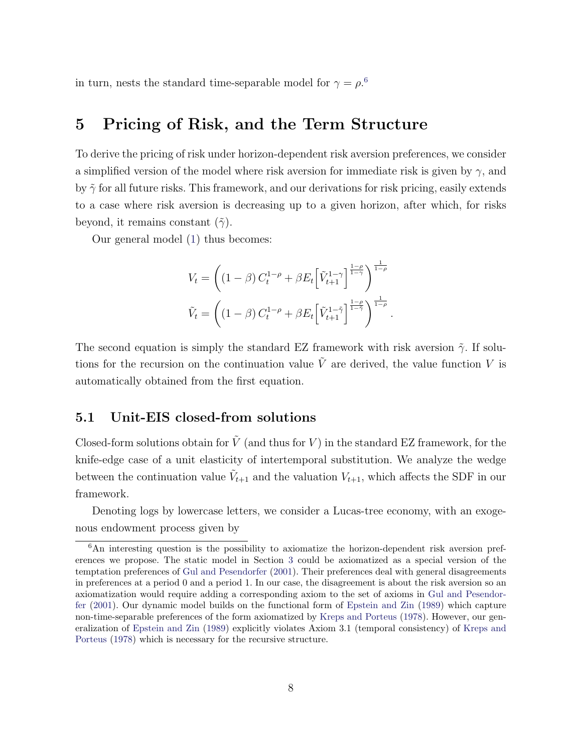in turn, nests the standard time-separable model for  $\gamma = \rho$ <sup>[6](#page-8-1)</sup>.

## <span id="page-8-0"></span>5 Pricing of Risk, and the Term Structure

To derive the pricing of risk under horizon-dependent risk aversion preferences, we consider a simplified version of the model where risk aversion for immediate risk is given by  $\gamma$ , and by  $\tilde{\gamma}$  for all future risks. This framework, and our derivations for risk pricing, easily extends to a case where risk aversion is decreasing up to a given horizon, after which, for risks beyond, it remains constant  $(\tilde{\gamma})$ .

Our general model [\(1\)](#page-6-1) thus becomes:

$$
V_t = \left( \left(1 - \beta\right) C_t^{1-\rho} + \beta E_t \left[\tilde{V}_{t+1}^{1-\gamma}\right]^{\frac{1-\rho}{1-\gamma}} \right)^{\frac{1}{1-\rho}}
$$
  

$$
\tilde{V}_t = \left( \left(1 - \beta\right) C_t^{1-\rho} + \beta E_t \left[\tilde{V}_{t+1}^{1-\tilde{\gamma}}\right]^{\frac{1-\rho}{1-\tilde{\gamma}}} \right)^{\frac{1}{1-\rho}}.
$$

The second equation is simply the standard EZ framework with risk aversion  $\tilde{\gamma}$ . If solutions for the recursion on the continuation value  $\tilde{V}$  are derived, the value function V is automatically obtained from the first equation.

### 5.1 Unit-EIS closed-from solutions

Closed-form solutions obtain for  $\tilde{V}$  (and thus for  $V$ ) in the standard EZ framework, for the knife-edge case of a unit elasticity of intertemporal substitution. We analyze the wedge between the continuation value  $V_{t+1}$  and the valuation  $V_{t+1}$ , which affects the SDF in our framework.

Denoting logs by lowercase letters, we consider a Lucas-tree economy, with an exogenous endowment process given by

<span id="page-8-1"></span><sup>&</sup>lt;sup>6</sup>An interesting question is the possibility to axiomatize the horizon-dependent risk aversion preferences we propose. The static model in Section [3](#page-5-0) could be axiomatized as a special version of the temptation preferences of [Gul and Pesendorfer](#page-26-12) [\(2001\)](#page-26-12). Their preferences deal with general disagreements in preferences at a period 0 and a period 1. In our case, the disagreement is about the risk aversion so an axiomatization would require adding a corresponding axiom to the set of axioms in [Gul and Pesendor](#page-26-12)[fer](#page-26-12) [\(2001\)](#page-26-12). Our dynamic model builds on the functional form of [Epstein and Zin](#page-26-1) [\(1989\)](#page-26-1) which capture non-time-separable preferences of the form axiomatized by [Kreps and Porteus](#page-27-1) [\(1978\)](#page-27-1). However, our generalization of [Epstein and Zin](#page-26-1) [\(1989\)](#page-26-1) explicitly violates Axiom 3.1 (temporal consistency) of [Kreps and](#page-27-1) [Porteus](#page-27-1) [\(1978\)](#page-27-1) which is necessary for the recursive structure.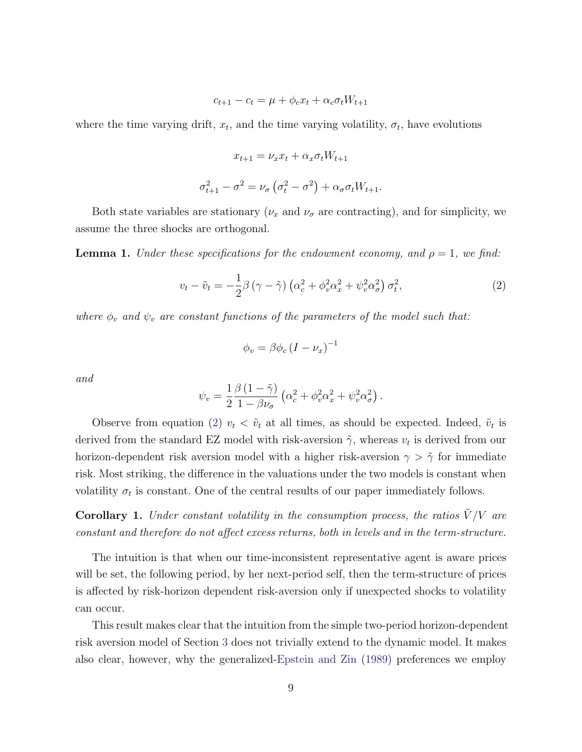$$
c_{t+1} - c_t = \mu + \phi_c x_t + \alpha_c \sigma_t W_{t+1}
$$

where the time varying drift,  $x_t$ , and the time varying volatility,  $\sigma_t$ , have evolutions

$$
x_{t+1} = \nu_x x_t + \alpha_x \sigma_t W_{t+1}
$$

$$
\sigma_{t+1}^2 - \sigma^2 = \nu_{\sigma} \left( \sigma_t^2 - \sigma^2 \right) + \alpha_{\sigma} \sigma_t W_{t+1}.
$$

Both state variables are stationary  $(\nu_x$  and  $\nu_{\sigma}$  are contracting), and for simplicity, we assume the three shocks are orthogonal.

**Lemma 1.** *Under these specifications for the endowment economy, and*  $\rho = 1$ *, we find:* 

<span id="page-9-0"></span>
$$
v_t - \tilde{v}_t = -\frac{1}{2}\beta \left(\gamma - \tilde{\gamma}\right) \left(\alpha_c^2 + \phi_v^2 \alpha_x^2 + \psi_v^2 \alpha_\sigma^2\right) \sigma_t^2,\tag{2}
$$

*where*  $\phi_v$  *and*  $\psi_v$  *are constant functions of the parameters of the model such that:* 

$$
\phi_v = \beta \phi_c \left( I - \nu_x \right)^{-1}
$$

*and*

$$
\psi_v = \frac{1}{2} \frac{\beta (1 - \tilde{\gamma})}{1 - \beta \nu_\sigma} \left( \alpha_c^2 + \phi_v^2 \alpha_x^2 + \psi_v^2 \alpha_\sigma^2 \right).
$$

Observe from equation [\(2\)](#page-9-0)  $v_t < \tilde{v}_t$  at all times, as should be expected. Indeed,  $\tilde{v}_t$  is derived from the standard EZ model with risk-aversion  $\tilde{\gamma}$ , whereas  $v_t$  is derived from our horizon-dependent risk aversion model with a higher risk-aversion  $\gamma > \tilde{\gamma}$  for immediate risk. Most striking, the difference in the valuations under the two models is constant when volatility  $\sigma_t$  is constant. One of the central results of our paper immediately follows.

**Corollary 1.** *Under constant volatility in the consumption process, the ratios*  $\tilde{V}/V$  are *constant and therefore do not affect excess returns, both in levels and in the term-structure.* 

The intuition is that when our time-inconsistent representative agent is aware prices will be set, the following period, by her next-period self, then the term-structure of prices is affected by risk-horizon dependent risk-aversion only if unexpected shocks to volatility can occur.

This result makes clear that the intuition from the simple two-period horizon-dependent risk aversion model of Section [3](#page-5-0) does not trivially extend to the dynamic model. It makes also clear, however, why the generalized[-Epstein and Zin](#page-26-1) [\(1989\)](#page-26-1) preferences we employ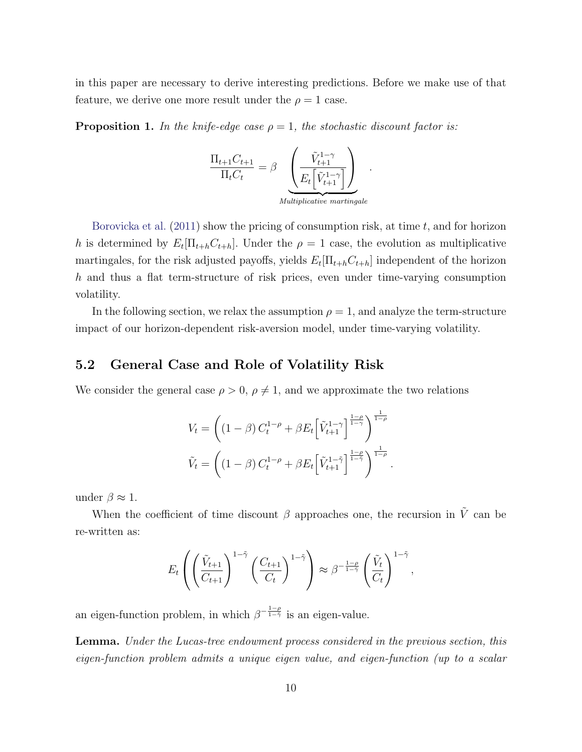in this paper are necessary to derive interesting predictions. Before we make use of that feature, we derive one more result under the  $\rho = 1$  case.

**Proposition 1.** In the knife-edge case  $\rho = 1$ , the stochastic discount factor is:

$$
\frac{\Pi_{t+1}C_{t+1}}{\Pi_t C_t} = \beta \underbrace{\left(\frac{\tilde{V}_{t+1}^{1-\gamma}}{E_t \left[\tilde{V}_{t+1}^{1-\gamma}\right]}\right)}_{Multinlicative martingale}.
$$

[Borovicka et al.](#page-25-10) [\(2011\)](#page-25-10) show the pricing of consumption risk, at time *t*, and for horizon *h* is determined by  $E_t[\Pi_{t+h}C_{t+h}]$ . Under the  $\rho = 1$  case, the evolution as multiplicative martingales, for the risk adjusted payoffs, yields  $E_t[\Pi_{t+h} C_{t+h}]$  independent of the horizon *h* and thus a flat term-structure of risk prices, even under time-varying consumption volatility.

In the following section, we relax the assumption  $\rho = 1$ , and analyze the term-structure impact of our horizon-dependent risk-aversion model, under time-varying volatility.

### 5.2 General Case and Role of Volatility Risk

We consider the general case  $\rho > 0$ ,  $\rho \neq 1$ , and we approximate the two relations

$$
V_t = \left( (1 - \beta) C_t^{1 - \rho} + \beta E_t \left[ \tilde{V}_{t+1}^{1 - \gamma} \right]^{\frac{1 - \rho}{1 - \gamma}} \right)^{\frac{1}{1 - \rho}}
$$
  

$$
\tilde{V}_t = \left( (1 - \beta) C_t^{1 - \rho} + \beta E_t \left[ \tilde{V}_{t+1}^{1 - \tilde{\gamma}} \right]^{\frac{1 - \rho}{1 - \tilde{\gamma}}} \right)^{\frac{1}{1 - \rho}}.
$$

under  $\beta \approx 1$ .

When the coefficient of time discount  $\beta$  approaches one, the recursion in  $\tilde{V}$  can be re-written as:

$$
E_t\left(\left(\frac{\tilde{V}_{t+1}}{C_{t+1}}\right)^{1-\tilde{\gamma}}\left(\frac{C_{t+1}}{C_t}\right)^{1-\tilde{\gamma}}\right) \approx \beta^{-\frac{1-\rho}{1-\tilde{\gamma}}}\left(\frac{\tilde{V}_t}{C_t}\right)^{1-\tilde{\gamma}},
$$

an eigen-function problem, in which  $\beta^{-\frac{1-\rho}{1-\gamma}}$  is an eigen-value.

Lemma. *Under the Lucas-tree endowment process considered in the previous section, this eigen-function problem admits a unique eigen value, and eigen-function (up to a scalar*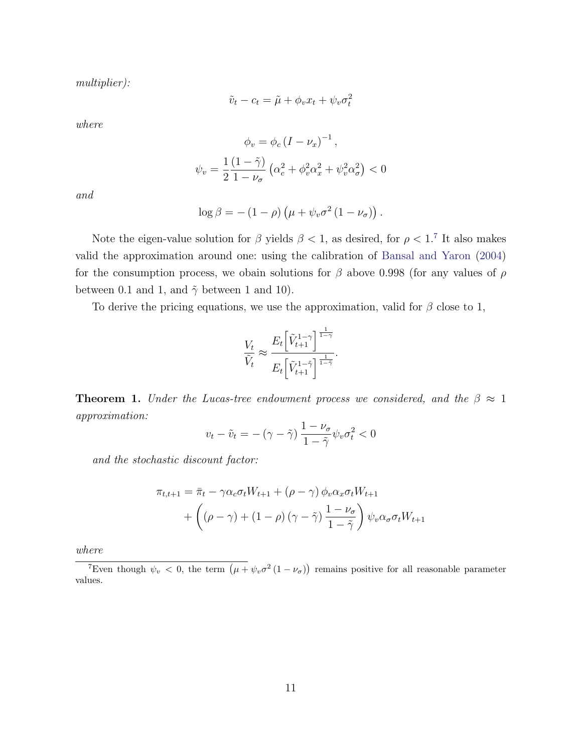*multiplier):*

$$
\tilde{v}_t - c_t = \tilde{\mu} + \phi_v x_t + \psi_v \sigma_t^2
$$

*where*

$$
\phi_v = \phi_c \left(I - \nu_x\right)^{-1},
$$
  

$$
\psi_v = \frac{1}{2} \frac{\left(1 - \tilde{\gamma}\right)}{1 - \nu_\sigma} \left(\alpha_c^2 + \phi_v^2 \alpha_x^2 + \psi_v^2 \alpha_\sigma^2\right) < 0
$$

*and*

$$
\log \beta = -(1 - \rho) \left( \mu + \psi_v \sigma^2 (1 - \nu_\sigma) \right).
$$

Note the eigen-value solution for  $\beta$  yields  $\beta$  < 1, as desired, for  $\rho$  < 1.<sup>[7](#page-11-0)</sup> It also makes valid the approximation around one: using the calibration of [Bansal and Yaron](#page-24-2) [\(2004\)](#page-24-2) for the consumption process, we obain solutions for  $\beta$  above 0.998 (for any values of  $\rho$ between 0.1 and 1, and  $\tilde{\gamma}$  between 1 and 10).

To derive the pricing equations, we use the approximation, valid for  $\beta$  close to 1,

$$
\frac{V_t}{\tilde{V}_t} \approx \frac{E_t \left[ \tilde{V}_{t+1}^{1-\gamma} \right]^{\frac{1}{1-\gamma}}}{E_t \left[ \tilde{V}_{t+1}^{1-\tilde{\gamma}} \right]^{\frac{1}{1-\tilde{\gamma}}}}.
$$

<span id="page-11-1"></span>**Theorem 1.** *Under the Lucas-tree endowment process we considered, and the*  $\beta \approx 1$ *approximation:*

$$
v_t - \tilde{v}_t = -(\gamma - \tilde{\gamma}) \frac{1 - \nu_\sigma}{1 - \tilde{\gamma}} \psi_v \sigma_t^2 < 0
$$

*and the stochastic discount factor:*

$$
\pi_{t,t+1} = \bar{\pi}_t - \gamma \alpha_c \sigma_t W_{t+1} + (\rho - \gamma) \phi_v \alpha_x \sigma_t W_{t+1}
$$

$$
+ \left( (\rho - \gamma) + (1 - \rho) (\gamma - \tilde{\gamma}) \frac{1 - \nu_\sigma}{1 - \tilde{\gamma}} \right) \psi_v \alpha_\sigma \sigma_t W_{t+1}
$$

*where*

<span id="page-11-0"></span><sup>7</sup>Even though  $\psi_v < 0$ , the term  $(\mu + \psi_v \sigma^2 (1 - \nu_{\sigma}))$  remains positive for all reasonable parameter values.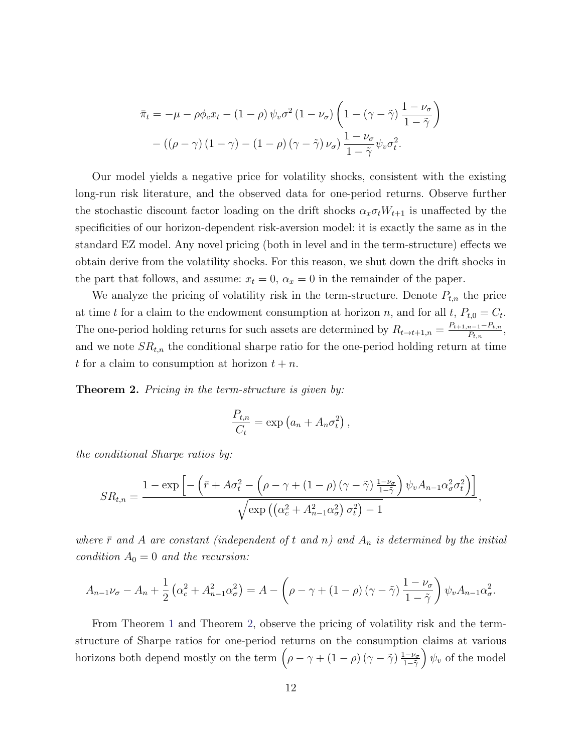$$
\bar{\pi}_t = -\mu - \rho \phi_c x_t - (1 - \rho) \psi_v \sigma^2 (1 - \nu_\sigma) \left( 1 - (\gamma - \tilde{\gamma}) \frac{1 - \nu_\sigma}{1 - \tilde{\gamma}} \right) - ((\rho - \gamma) (1 - \gamma) - (1 - \rho) (\gamma - \tilde{\gamma}) \nu_\sigma) \frac{1 - \nu_\sigma}{1 - \tilde{\gamma}} \psi_v \sigma_t^2.
$$

Our model yields a negative price for volatility shocks, consistent with the existing long-run risk literature, and the observed data for one-period returns. Observe further the stochastic discount factor loading on the drift shocks  $\alpha_x \sigma_t W_{t+1}$  is unaffected by the specificities of our horizon-dependent risk-aversion model: it is exactly the same as in the standard EZ model. Any novel pricing (both in level and in the term-structure) effects we obtain derive from the volatility shocks. For this reason, we shut down the drift shocks in the part that follows, and assume:  $x_t = 0$ ,  $\alpha_x = 0$  in the remainder of the paper.

We analyze the pricing of volatility risk in the term-structure. Denote  $P_{t,n}$  the price at time *t* for a claim to the endowment consumption at horizon *n*, and for all *t*,  $P_{t,0} = C_t$ . The one-period holding returns for such assets are determined by  $R_{t\rightarrow t+1,n} = \frac{P_{t+1,n-1} - P_{t,n}}{P_{t,n}},$ and we note  $SR_{t,n}$  the conditional sharpe ratio for the one-period holding return at time *t* for a claim to consumption at horizon  $t + n$ .

<span id="page-12-0"></span>Theorem 2. *Pricing in the term-structure is given by:*

$$
\frac{P_{t,n}}{C_t} = \exp\left(a_n + A_n \sigma_t^2\right),\,
$$

*the conditional Sharpe ratios by:*

$$
SR_{t,n} = \frac{1 - \exp\left[-\left(\bar{r} + A\sigma_t^2 - \left(\rho - \gamma + (1 - \rho)\left(\gamma - \tilde{\gamma}\right)\frac{1 - \nu_\sigma}{1 - \tilde{\gamma}}\right)\psi_v A_{n-1} \alpha_\sigma^2 \sigma_t^2\right)\right]}{\sqrt{\exp\left(\left(\alpha_c^2 + A_{n-1}^2 \alpha_\sigma^2\right) \sigma_t^2\right) - 1}},
$$

*where*  $\bar{r}$  *and*  $\bar{A}$  *are constant (independent of t and n)* and  $A_n$  *is determined by the initial condition*  $A_0 = 0$  *and the recursion:* 

$$
A_{n-1}\nu_{\sigma}-A_n+\frac{1}{2}\left(\alpha_c^2+A_{n-1}^2\alpha_{\sigma}^2\right)=A-\left(\rho-\gamma+\left(1-\rho\right)\left(\gamma-\tilde{\gamma}\right)\frac{1-\nu_{\sigma}}{1-\tilde{\gamma}}\right)\psi_vA_{n-1}\alpha_{\sigma}^2.
$$

From Theorem [1](#page-11-1) and Theorem [2,](#page-12-0) observe the pricing of volatility risk and the termstructure of Sharpe ratios for one-period returns on the consumption claims at various horizons both depend mostly on the term  $(\rho - \gamma + (1 - \rho) (\gamma - \tilde{\gamma}) \frac{1 - \nu_{\sigma}}{1 - \tilde{\gamma}})$  $\psi_v$  of the model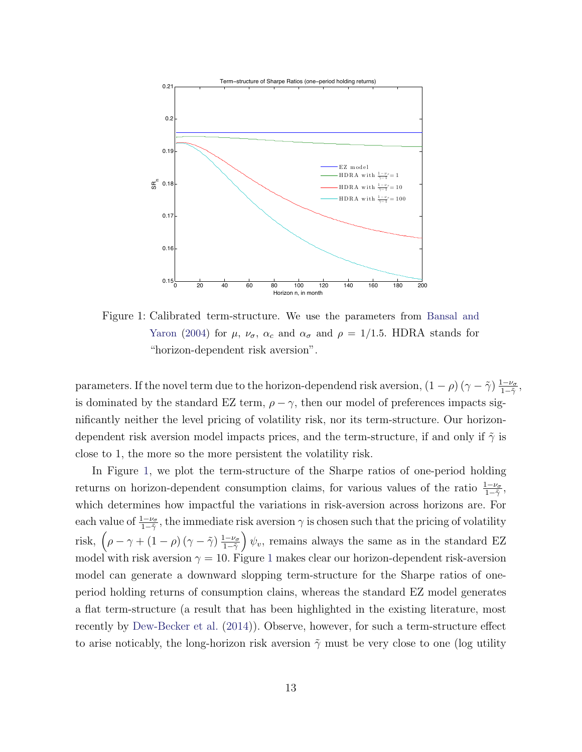<span id="page-13-0"></span>

Figure 1: Calibrated term-structure. We use the parameters from [Bansal and](#page-24-2) [Yaron](#page-24-2) [\(2004\)](#page-24-2) for  $\mu$ ,  $\nu_{\sigma}$ ,  $\alpha_c$  and  $\alpha_{\sigma}$  and  $\rho = 1/1.5$ . HDRA stands for "horizon-dependent risk aversion".

parameters. If the novel term due to the horizon-dependend risk aversion,  $(1 - \rho)(\gamma - \tilde{\gamma}) \frac{1 - \nu_{\sigma}}{1 - \tilde{\gamma}},$ is dominated by the standard EZ term,  $\rho - \gamma$ , then our model of preferences impacts significantly neither the level pricing of volatility risk, nor its term-structure. Our horizondependent risk aversion model impacts prices, and the term-structure, if and only if  $\tilde{\gamma}$  is close to 1, the more so the more persistent the volatility risk.

In Figure [1,](#page-13-0) we plot the term-structure of the Sharpe ratios of one-period holding returns on horizon-dependent consumption claims, for various values of the ratio  $\frac{1-\nu_{\sigma}}{1-\tilde{\gamma}},$ which determines how impactful the variations in risk-aversion across horizons are. For each value of  $\frac{1-\nu_{\sigma}}{1-\tilde{\gamma}}$ , the immediate risk aversion  $\gamma$  is chosen such that the pricing of volatility risk,  $(\rho - \gamma + (1 - \rho) (\gamma - \tilde{\gamma}) \frac{1 - \nu_{\sigma}}{1 - \tilde{\gamma}}$  $\psi_v$ , remains always the same as in the standard EZ model with risk aversion  $\gamma = 10$  $\gamma = 10$  $\gamma = 10$ . Figure 1 makes clear our horizon-dependent risk-aversion model can generate a downward slopping term-structure for the Sharpe ratios of oneperiod holding returns of consumption clains, whereas the standard EZ model generates a flat term-structure (a result that has been highlighted in the existing literature, most recently by [Dew-Becker et al.](#page-26-10) [\(2014\)](#page-26-10)). Observe, however, for such a term-structure effect to arise noticably, the long-horizon risk aversion  $\tilde{\gamma}$  must be very close to one (log utility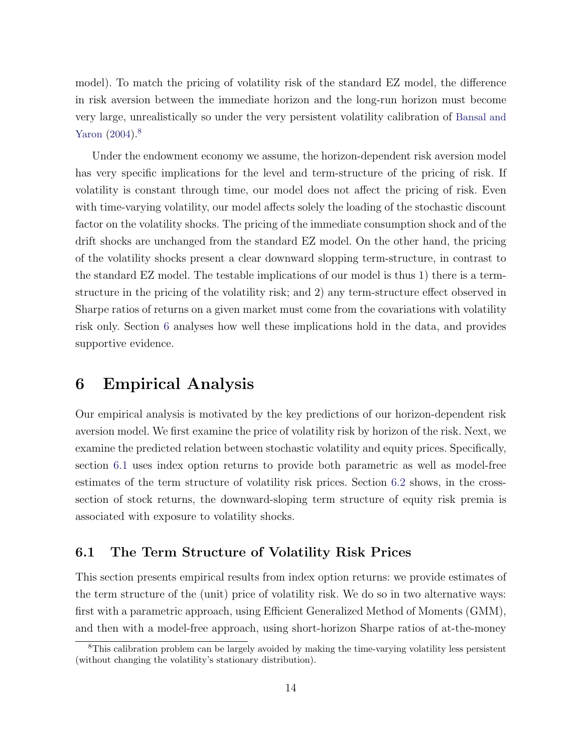model). To match the pricing of volatility risk of the standard EZ model, the difference in risk aversion between the immediate horizon and the long-run horizon must become very large, unrealistically so under the very persistent volatility calibration of [Bansal and](#page-24-2) [Yaron](#page-24-2) [\(2004\)](#page-24-2).<sup>[8](#page-14-1)</sup>

Under the endowment economy we assume, the horizon-dependent risk aversion model has very specific implications for the level and term-structure of the pricing of risk. If volatility is constant through time, our model does not affect the pricing of risk. Even with time-varying volatility, our model affects solely the loading of the stochastic discount factor on the volatility shocks. The pricing of the immediate consumption shock and of the drift shocks are unchanged from the standard EZ model. On the other hand, the pricing of the volatility shocks present a clear downward slopping term-structure, in contrast to the standard EZ model. The testable implications of our model is thus 1) there is a termstructure in the pricing of the volatility risk; and 2) any term-structure effect observed in Sharpe ratios of returns on a given market must come from the covariations with volatility risk only. Section [6](#page-14-0) analyses how well these implications hold in the data, and provides supportive evidence.

# <span id="page-14-0"></span>6 Empirical Analysis

Our empirical analysis is motivated by the key predictions of our horizon-dependent risk aversion model. We first examine the price of volatility risk by horizon of the risk. Next, we examine the predicted relation between stochastic volatility and equity prices. Specifically, section [6.1](#page-14-2) uses index option returns to provide both parametric as well as model-free estimates of the term structure of volatility risk prices. Section [6.2](#page-21-0) shows, in the crosssection of stock returns, the downward-sloping term structure of equity risk premia is associated with exposure to volatility shocks.

### <span id="page-14-2"></span>6.1 The Term Structure of Volatility Risk Prices

This section presents empirical results from index option returns: we provide estimates of the term structure of the (unit) price of volatility risk. We do so in two alternative ways: first with a parametric approach, using Efficient Generalized Method of Moments (GMM), and then with a model-free approach, using short-horizon Sharpe ratios of at-the-money

<span id="page-14-1"></span><sup>8</sup>This calibration problem can be largely avoided by making the time-varying volatility less persistent (without changing the volatility's stationary distribution).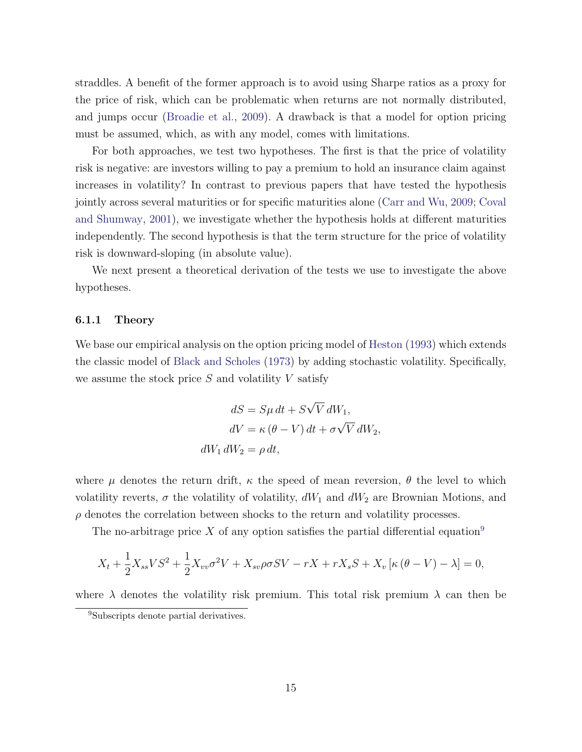straddles. A benefit of the former approach is to avoid using Sharpe ratios as a proxy for the price of risk, which can be problematic when returns are not normally distributed, and jumps occur [\(Broadie et al.,](#page-25-11) [2009\)](#page-25-11). A drawback is that a model for option pricing must be assumed, which, as with any model, comes with limitations.

For both approaches, we test two hypotheses. The first is that the price of volatility risk is negative: are investors willing to pay a premium to hold an insurance claim against increases in volatility? In contrast to previous papers that have tested the hypothesis jointly across several maturities or for specific maturities alone [\(Carr and Wu,](#page-25-9) [2009;](#page-25-9) [Coval](#page-26-11) [and Shumway,](#page-26-11)  $2001$ , we investigate whether the hypothesis holds at different maturities independently. The second hypothesis is that the term structure for the price of volatility risk is downward-sloping (in absolute value).

We next present a theoretical derivation of the tests we use to investigate the above hypotheses.

#### 6.1.1 Theory

We base our empirical analysis on the option pricing model of [Heston](#page-26-2) [\(1993\)](#page-26-2) which extends the classic model of [Black and Scholes](#page-25-12) [\(1973\)](#page-25-12) by adding stochastic volatility. Specifically, we assume the stock price *S* and volatility *V* satisfy

$$
dS = S\mu dt + S\sqrt{V} dW_1,
$$
  
\n
$$
dV = \kappa (\theta - V) dt + \sigma \sqrt{V} dW_2,
$$
  
\n
$$
dW_1 dW_2 = \rho dt,
$$

where  $\mu$  denotes the return drift,  $\kappa$  the speed of mean reversion,  $\theta$  the level to which volatility reverts,  $\sigma$  the volatility of volatility,  $dW_1$  and  $dW_2$  are Brownian Motions, and  $\rho$  denotes the correlation between shocks to the return and volatility processes.

The no-arbitrage price X of any option satisfies the partial differential equation<sup>[9](#page-15-0)</sup>

$$
X_t + \frac{1}{2}X_{ss}VS^2 + \frac{1}{2}X_{vv}\sigma^2V + X_{sv}\rho\sigma SV - rX + rX_sS + X_v[\kappa(\theta - V) - \lambda] = 0,
$$

where  $\lambda$  denotes the volatility risk premium. This total risk premium  $\lambda$  can then be

<span id="page-15-0"></span><sup>9</sup>Subscripts denote partial derivatives.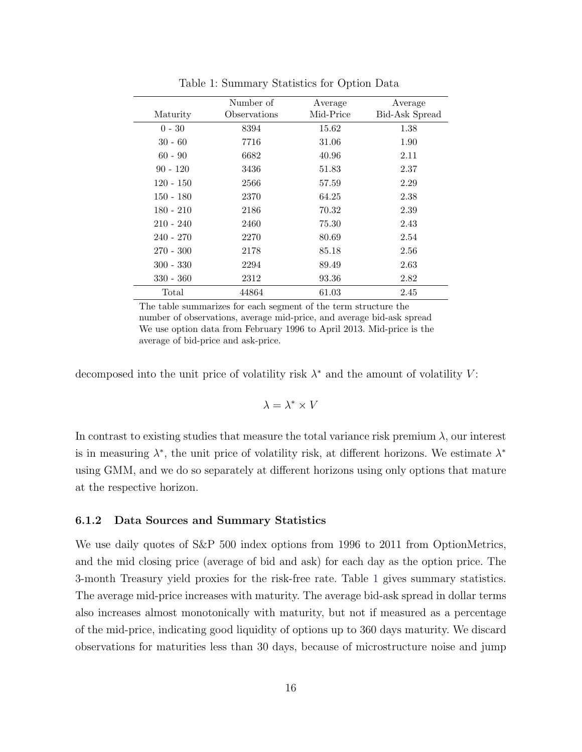<span id="page-16-0"></span>

|             | Number of    | Average   | Average               |
|-------------|--------------|-----------|-----------------------|
| Maturity    | Observations | Mid-Price | <b>Bid-Ask Spread</b> |
| $0 - 30$    | 8394         | 15.62     | 1.38                  |
| $30 - 60$   | 7716         | 31.06     | 1.90                  |
| $60 - 90$   | 6682         | 40.96     | 2.11                  |
| $90 - 120$  | 3436         | 51.83     | 2.37                  |
| $120 - 150$ | 2566         | 57.59     | 2.29                  |
| $150 - 180$ | 2370         | 64.25     | 2.38                  |
| $180 - 210$ | 2186         | 70.32     | 2.39                  |
| $210 - 240$ | 2460         | 75.30     | 2.43                  |
| $240 - 270$ | 2270         | 80.69     | 2.54                  |
| $270 - 300$ | 2178         | 85.18     | 2.56                  |
| $300 - 330$ | 2294         | 89.49     | 2.63                  |
| $330 - 360$ | 2312         | 93.36     | 2.82                  |
| Total       | 44864        | 61.03     | 2.45                  |

Table 1: Summary Statistics for Option Data

The table summarizes for each segment of the term structure the number of observations, average mid-price, and average bid-ask spread We use option data from February 1996 to April 2013. Mid-price is the average of bid-price and ask-price.

decomposed into the unit price of volatility risk  $\lambda^*$  and the amount of volatility  $V$ :

$$
\lambda = \lambda^* \times V
$$

In contrast to existing studies that measure the total variance risk premium  $\lambda$ , our interest is in measuring  $\lambda^*$ , the unit price of volatility risk, at different horizons. We estimate  $\lambda^*$ using GMM, and we do so separately at different horizons using only options that mature at the respective horizon.

#### 6.1.2 Data Sources and Summary Statistics

We use daily quotes of S&P 500 index options from 1996 to 2011 from OptionMetrics, and the mid closing price (average of bid and ask) for each day as the option price. The 3-month Treasury yield proxies for the risk-free rate. Table [1](#page-16-0) gives summary statistics. The average mid-price increases with maturity. The average bid-ask spread in dollar terms also increases almost monotonically with maturity, but not if measured as a percentage of the mid-price, indicating good liquidity of options up to 360 days maturity. We discard observations for maturities less than 30 days, because of microstructure noise and jump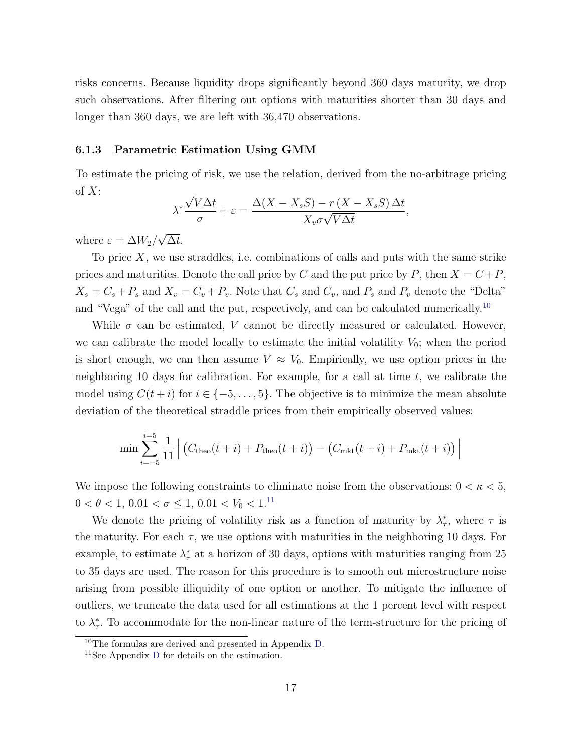risks concerns. Because liquidity drops significantly beyond 360 days maturity, we drop such observations. After filtering out options with maturities shorter than 30 days and longer than 360 days, we are left with 36,470 observations.

#### <span id="page-17-2"></span>6.1.3 Parametric Estimation Using GMM

To estimate the pricing of risk, we use the relation, derived from the no-arbitrage pricing of *X*:

$$
\lambda^* \frac{\sqrt{V\Delta t}}{\sigma} + \varepsilon = \frac{\Delta(X - X_s S) - r(X - X_s S)\Delta t}{X_v \sigma \sqrt{V\Delta t}},
$$

where  $\varepsilon = \Delta W_2 / \sqrt{\Delta t}$ .

To price *X*, we use straddles, i.e. combinations of calls and puts with the same strike prices and maturities. Denote the call price by *C* and the put price by *P*, then  $X = C + P$ ,  $X_s = C_s + P_s$  and  $X_v = C_v + P_v$ . Note that  $C_s$  and  $C_v$ , and  $P_s$  and  $P_v$  denote the "Delta" and "Vega" of the call and the put, respectively, and can be calculated numerically.<sup>[10](#page-17-0)</sup>

While  $\sigma$  can be estimated, *V* cannot be directly measured or calculated. However, we can calibrate the model locally to estimate the initial volatility  $V_0$ ; when the period is short enough, we can then assume  $V \approx V_0$ . Empirically, we use option prices in the neighboring 10 days for calibration. For example, for a call at time *t*, we calibrate the model using  $C(t + i)$  for  $i \in \{-5, \ldots, 5\}$ . The objective is to minimize the mean absolute deviation of the theoretical straddle prices from their empirically observed values:

$$
\min \sum_{i=-5}^{i=5} \frac{1}{11} \left| \left( C_{\text{theo}}(t+i) + P_{\text{theo}}(t+i) \right) - \left( C_{\text{mkt}}(t+i) + P_{\text{mkt}}(t+i) \right) \right|
$$

We impose the following constraints to eliminate noise from the observations:  $0 < \kappa < 5$ ,  $0 < \theta < 1, 0.01 < \sigma \leq 1, 0.01 < V_0 < 1.11$  $0 < \theta < 1, 0.01 < \sigma \leq 1, 0.01 < V_0 < 1.11$ 

We denote the pricing of volatility risk as a function of maturity by  $\lambda^*_{\tau}$ , where  $\tau$  is the maturity. For each  $\tau$ , we use options with maturities in the neighboring 10 days. For example, to estimate  $\lambda^*_{\tau}$  at a horizon of 30 days, options with maturities ranging from 25 to 35 days are used. The reason for this procedure is to smooth out microstructure noise arising from possible illiquidity of one option or another. To mitigate the influence of outliers, we truncate the data used for all estimations at the 1 percent level with respect to  $\lambda^*_{\tau}$ . To accommodate for the non-linear nature of the term-structure for the pricing of

<span id="page-17-0"></span><sup>10</sup>The formulas are derived and presented in Appendix [D.](#page-39-0)

<span id="page-17-1"></span><sup>11</sup>See Appendix [D](#page-39-0) for details on the estimation.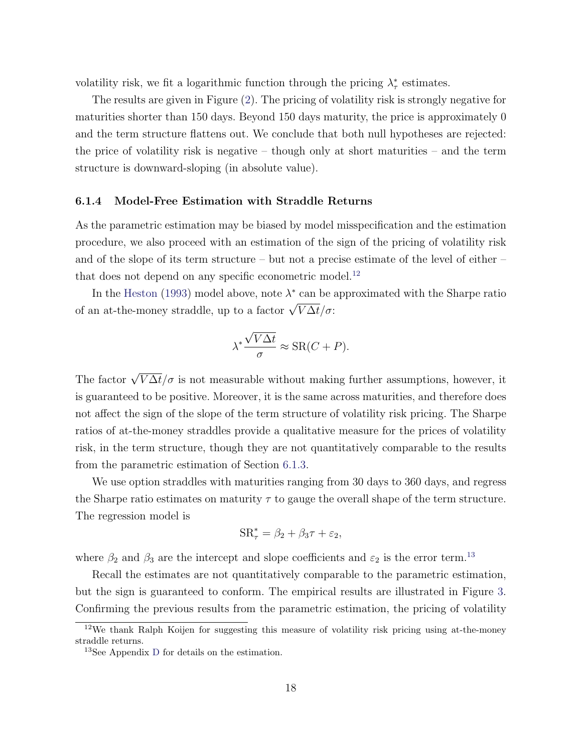volatility risk, we fit a logarithmic function through the pricing  $\lambda^*_{\tau}$  estimates.

The results are given in Figure [\(2\)](#page-19-0). The pricing of volatility risk is strongly negative for maturities shorter than 150 days. Beyond 150 days maturity, the price is approximately 0 and the term structure flattens out. We conclude that both null hypotheses are rejected: the price of volatility risk is negative – though only at short maturities – and the term structure is downward-sloping (in absolute value).

#### 6.1.4 Model-Free Estimation with Straddle Returns

As the parametric estimation may be biased by model misspecification and the estimation procedure, we also proceed with an estimation of the sign of the pricing of volatility risk and of the slope of its term structure – but not a precise estimate of the level of either – that does not depend on any specific econometric model.<sup>[12](#page-18-0)</sup>

In the [Heston](#page-26-2) [\(1993\)](#page-26-2) model above, note  $\lambda^*$  can be approximated with the Sharpe ratio of an at-the-money straddle, up to a factor  $\sqrt{V\Delta t}/\sigma$ :

$$
\lambda^* \frac{\sqrt{V\Delta t}}{\sigma} \approx \text{SR}(C+P).
$$

The factor  $\sqrt{V\Delta t}/\sigma$  is not measurable without making further assumptions, however, it is guaranteed to be positive. Moreover, it is the same across maturities, and therefore does not affect the sign of the slope of the term structure of volatility risk pricing. The Sharpe ratios of at-the-money straddles provide a qualitative measure for the prices of volatility risk, in the term structure, though they are not quantitatively comparable to the results from the parametric estimation of Section [6.1.3.](#page-17-2)

We use option straddles with maturities ranging from 30 days to 360 days, and regress the Sharpe ratio estimates on maturity  $\tau$  to gauge the overall shape of the term structure. The regression model is

$$
SR_{\tau}^* = \beta_2 + \beta_3 \tau + \varepsilon_2,
$$

where  $\beta_2$  and  $\beta_3$  are the intercept and slope coefficients and  $\varepsilon_2$  is the error term.<sup>[13](#page-18-1)</sup>

Recall the estimates are not quantitatively comparable to the parametric estimation, but the sign is guaranteed to conform. The empirical results are illustrated in Figure [3.](#page-20-0) Confirming the previous results from the parametric estimation, the pricing of volatility

<span id="page-18-0"></span><sup>12</sup>We thank Ralph Koijen for suggesting this measure of volatility risk pricing using at-the-money straddle returns.

<span id="page-18-1"></span><sup>13</sup>See Appendix [D](#page-39-0) for details on the estimation.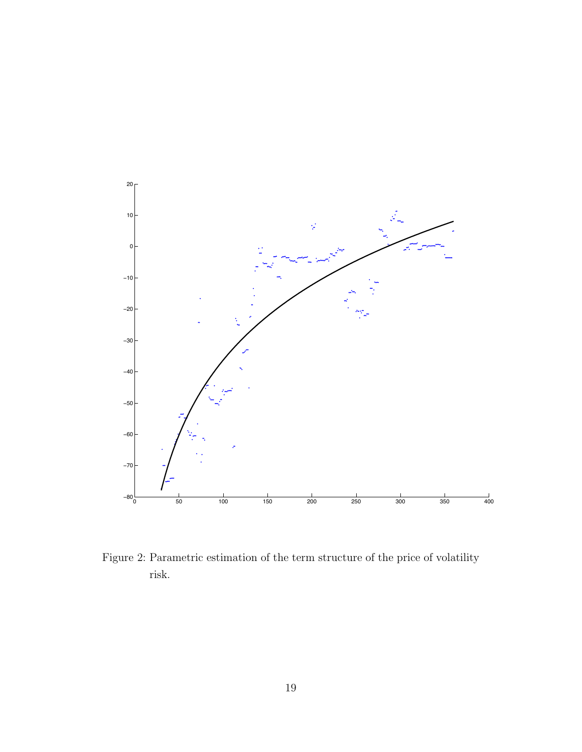<span id="page-19-0"></span>

Figure 2: Parametric estimation of the term structure of the price of volatility risk.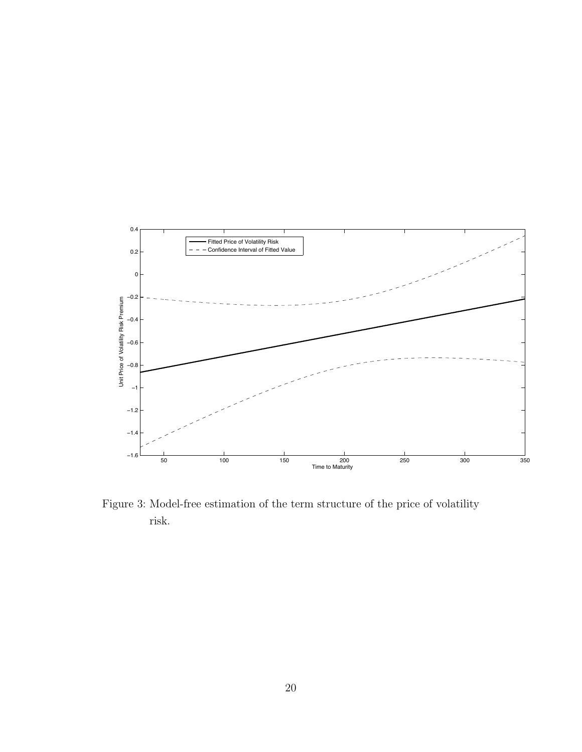<span id="page-20-0"></span>

Figure 3: Model-free estimation of the term structure of the price of volatility risk.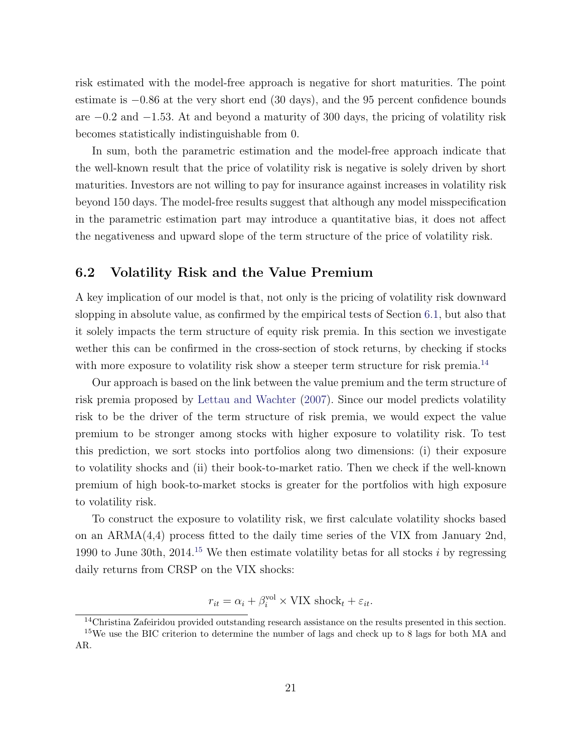risk estimated with the model-free approach is negative for short maturities. The point estimate is  $-0.86$  at the very short end  $(30 \text{ days})$ , and the 95 percent confidence bounds are  $-0.2$  and  $-1.53$ . At and beyond a maturity of 300 days, the pricing of volatility risk becomes statistically indistinguishable from 0.

In sum, both the parametric estimation and the model-free approach indicate that the well-known result that the price of volatility risk is negative is solely driven by short maturities. Investors are not willing to pay for insurance against increases in volatility risk beyond 150 days. The model-free results suggest that although any model misspecification in the parametric estimation part may introduce a quantitative bias, it does not affect the negativeness and upward slope of the term structure of the price of volatility risk.

### <span id="page-21-0"></span>6.2 Volatility Risk and the Value Premium

A key implication of our model is that, not only is the pricing of volatility risk downward slopping in absolute value, as confirmed by the empirical tests of Section [6.1,](#page-14-2) but also that it solely impacts the term structure of equity risk premia. In this section we investigate wether this can be confirmed in the cross-section of stock returns, by checking if stocks with more exposure to volatility risk show a steeper term structure for risk premia.<sup>[14](#page-21-1)</sup>

Our approach is based on the link between the value premium and the term structure of risk premia proposed by [Lettau and Wachter](#page-27-5) [\(2007\)](#page-27-5). Since our model predicts volatility risk to be the driver of the term structure of risk premia, we would expect the value premium to be stronger among stocks with higher exposure to volatility risk. To test this prediction, we sort stocks into portfolios along two dimensions: (i) their exposure to volatility shocks and (ii) their book-to-market ratio. Then we check if the well-known premium of high book-to-market stocks is greater for the portfolios with high exposure to volatility risk.

To construct the exposure to volatility risk, we first calculate volatility shocks based on an ARMA(4,4) process fitted to the daily time series of the VIX from January 2nd, 1990 to June 30th, 2014.[15](#page-21-2) We then estimate volatility betas for all stocks *i* by regressing daily returns from CRSP on the VIX shocks:

 $r_{it} = \alpha_i + \beta_i^{\text{vol}} \times \text{VIX shock}_t + \varepsilon_{it}.$ 

<span id="page-21-2"></span><span id="page-21-1"></span><sup>&</sup>lt;sup>14</sup>Christina Zafeiridou provided outstanding research assistance on the results presented in this section. <sup>15</sup>We use the BIC criterion to determine the number of lags and check up to 8 lags for both MA and AR.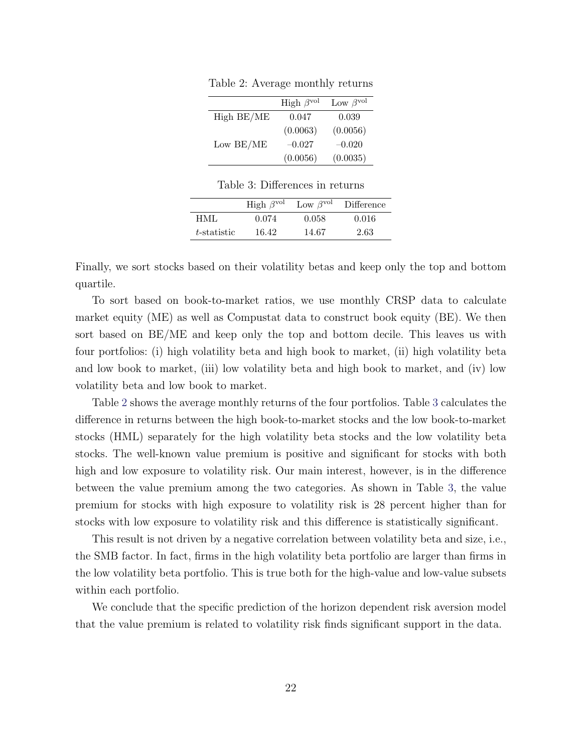|             | High $\beta^{\text{vol}}$ | Low $\beta^{\text{vol}}$ |
|-------------|---------------------------|--------------------------|
| High BE/ME  | 0.047                     | 0.039                    |
|             | (0.0063)                  | (0.0056)                 |
| Low $BE/ME$ | $-0.027$                  | $-0.020$                 |
|             | (0.0056)                  | (0.0035)                 |

<span id="page-22-0"></span>Table 2: Average monthly returns

Table 3: Differences in returns

|             | High $\beta^{\text{vol}}$ | Low $\beta^{\text{vol}}$ | Difference |
|-------------|---------------------------|--------------------------|------------|
| HML.        | 0.074                     | 0.058                    | 0.016      |
| t-statistic | 16.42                     | 14.67                    | 2.63       |

<span id="page-22-1"></span>Finally, we sort stocks based on their volatility betas and keep only the top and bottom quartile.

To sort based on book-to-market ratios, we use monthly CRSP data to calculate market equity (ME) as well as Compustat data to construct book equity (BE). We then sort based on BE/ME and keep only the top and bottom decile. This leaves us with four portfolios: (i) high volatility beta and high book to market, (ii) high volatility beta and low book to market, (iii) low volatility beta and high book to market, and (iv) low volatility beta and low book to market.

Table [2](#page-22-0) shows the average monthly returns of the four portfolios. Table [3](#page-22-1) calculates the difference in returns between the high book-to-market stocks and the low book-to-market stocks (HML) separately for the high volatility beta stocks and the low volatility beta stocks. The well-known value premium is positive and significant for stocks with both high and low exposure to volatility risk. Our main interest, however, is in the difference between the value premium among the two categories. As shown in Table [3,](#page-22-1) the value premium for stocks with high exposure to volatility risk is 28 percent higher than for stocks with low exposure to volatility risk and this difference is statistically significant.

This result is not driven by a negative correlation between volatility beta and size, i.e., the SMB factor. In fact, firms in the high volatility beta portfolio are larger than firms in the low volatility beta portfolio. This is true both for the high-value and low-value subsets within each portfolio.

We conclude that the specific prediction of the horizon dependent risk aversion model that the value premium is related to volatility risk finds significant support in the data.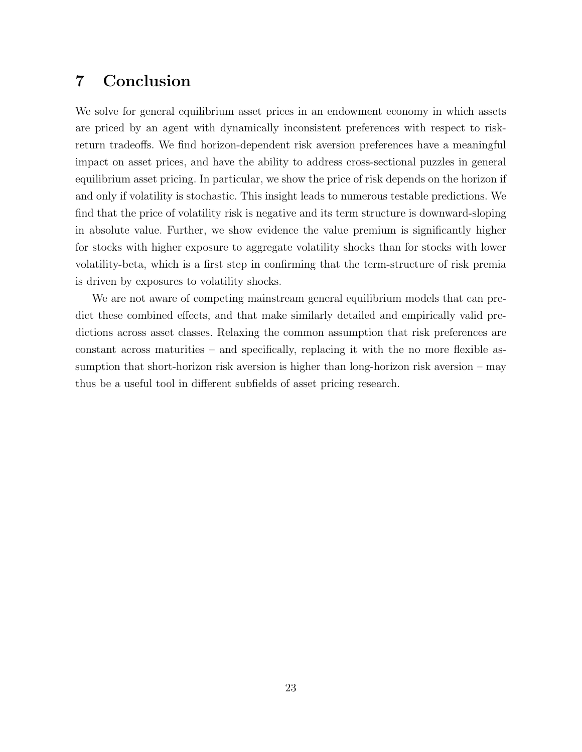# <span id="page-23-0"></span>7 Conclusion

We solve for general equilibrium asset prices in an endowment economy in which assets are priced by an agent with dynamically inconsistent preferences with respect to riskreturn tradeoffs. We find horizon-dependent risk aversion preferences have a meaningful impact on asset prices, and have the ability to address cross-sectional puzzles in general equilibrium asset pricing. In particular, we show the price of risk depends on the horizon if and only if volatility is stochastic. This insight leads to numerous testable predictions. We find that the price of volatility risk is negative and its term structure is downward-sloping in absolute value. Further, we show evidence the value premium is significantly higher for stocks with higher exposure to aggregate volatility shocks than for stocks with lower volatility-beta, which is a first step in confirming that the term-structure of risk premia is driven by exposures to volatility shocks.

We are not aware of competing mainstream general equilibrium models that can predict these combined effects, and that make similarly detailed and empirically valid predictions across asset classes. Relaxing the common assumption that risk preferences are constant across maturities – and specifically, replacing it with the no more flexible assumption that short-horizon risk aversion is higher than long-horizon risk aversion – may thus be a useful tool in different subfields of asset pricing research.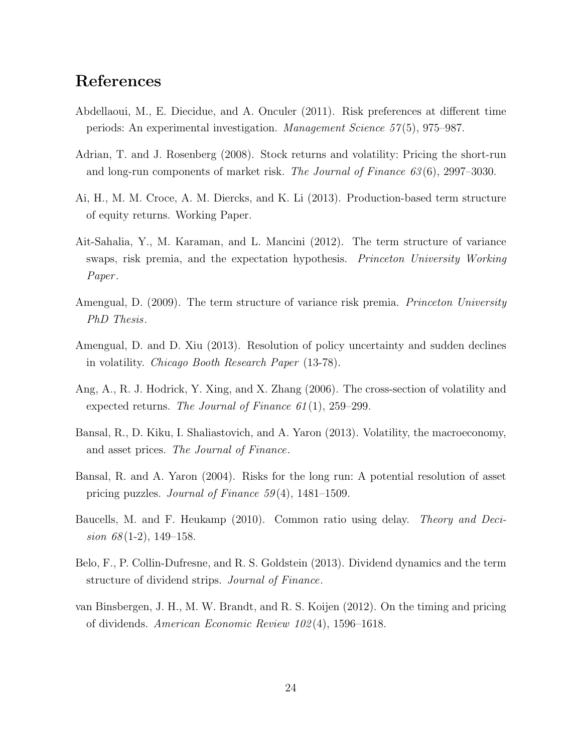# References

- <span id="page-24-1"></span>Abdellaoui, M., E. Diecidue, and A. Onculer (2011). Risk preferences at different time periods: An experimental investigation. *Management Science 57* (5), 975–987.
- <span id="page-24-8"></span>Adrian, T. and J. Rosenberg (2008). Stock returns and volatility: Pricing the short-run and long-run components of market risk. *The Journal of Finance 63* (6), 2997–3030.
- <span id="page-24-5"></span>Ai, H., M. M. Croce, A. M. Diercks, and K. Li (2013). Production-based term structure of equity returns. Working Paper.
- <span id="page-24-10"></span>Ait-Sahalia, Y., M. Karaman, and L. Mancini (2012). The term structure of variance swaps, risk premia, and the expectation hypothesis. *Princeton University Working Paper* .
- <span id="page-24-9"></span>Amengual, D. (2009). The term structure of variance risk premia. *Princeton University PhD Thesis*.
- <span id="page-24-11"></span>Amengual, D. and D. Xiu (2013). Resolution of policy uncertainty and sudden declines in volatility. *Chicago Booth Research Paper* (13-78).
- <span id="page-24-7"></span>Ang, A., R. J. Hodrick, Y. Xing, and X. Zhang (2006). The cross-section of volatility and expected returns. *The Journal of Finance 61* (1), 259–299.
- <span id="page-24-3"></span>Bansal, R., D. Kiku, I. Shaliastovich, and A. Yaron (2013). Volatility, the macroeconomy, and asset prices. *The Journal of Finance*.
- <span id="page-24-2"></span>Bansal, R. and A. Yaron (2004). Risks for the long run: A potential resolution of asset pricing puzzles. *Journal of Finance 59* (4), 1481–1509.
- <span id="page-24-0"></span>Baucells, M. and F. Heukamp (2010). Common ratio using delay. *Theory and Decision 68* (1-2), 149–158.
- <span id="page-24-6"></span>Belo, F., P. Collin-Dufresne, and R. S. Goldstein (2013). Dividend dynamics and the term structure of dividend strips. *Journal of Finance*.
- <span id="page-24-4"></span>van Binsbergen, J. H., M. W. Brandt, and R. S. Koijen (2012). On the timing and pricing of dividends. *American Economic Review 102* (4), 1596–1618.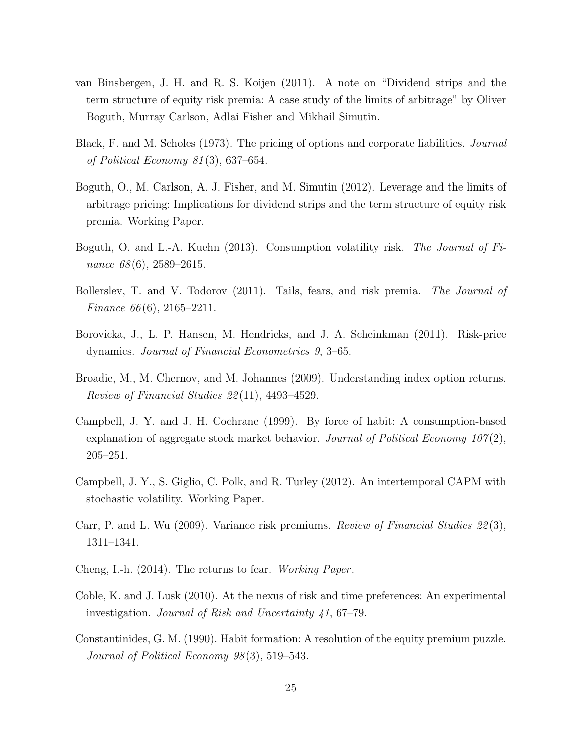- <span id="page-25-3"></span>van Binsbergen, J. H. and R. S. Koijen (2011). A note on "Dividend strips and the term structure of equity risk premia: A case study of the limits of arbitrage" by Oliver Boguth, Murray Carlson, Adlai Fisher and Mikhail Simutin.
- <span id="page-25-12"></span>Black, F. and M. Scholes (1973). The pricing of options and corporate liabilities. *Journal of Political Economy 81* (3), 637–654.
- <span id="page-25-4"></span>Boguth, O., M. Carlson, A. J. Fisher, and M. Simutin (2012). Leverage and the limits of arbitrage pricing: Implications for dividend strips and the term structure of equity risk premia. Working Paper.
- <span id="page-25-7"></span>Boguth, O. and L.-A. Kuehn (2013). Consumption volatility risk. *The Journal of Finance 68* (6), 2589–2615.
- <span id="page-25-6"></span>Bollerslev, T. and V. Todorov (2011). Tails, fears, and risk premia. *The Journal of Finance 66* (6), 2165–2211.
- <span id="page-25-10"></span>Borovicka, J., L. P. Hansen, M. Hendricks, and J. A. Scheinkman (2011). Risk-price dynamics. *Journal of Financial Econometrics 9*, 3–65.
- <span id="page-25-11"></span>Broadie, M., M. Chernov, and M. Johannes (2009). Understanding index option returns. *Review of Financial Studies 22* (11), 4493–4529.
- <span id="page-25-1"></span>Campbell, J. Y. and J. H. Cochrane (1999). By force of habit: A consumption-based explanation of aggregate stock market behavior. *Journal of Political Economy 107* (2), 205–251.
- <span id="page-25-5"></span>Campbell, J. Y., S. Giglio, C. Polk, and R. Turley (2012). An intertemporal CAPM with stochastic volatility. Working Paper.
- <span id="page-25-9"></span>Carr, P. and L. Wu (2009). Variance risk premiums. *Review of Financial Studies 22* (3), 1311–1341.
- <span id="page-25-8"></span>Cheng, I.-h. (2014). The returns to fear. *Working Paper* .
- <span id="page-25-2"></span>Coble, K. and J. Lusk (2010). At the nexus of risk and time preferences: An experimental investigation. *Journal of Risk and Uncertainty 41*, 67–79.
- <span id="page-25-0"></span>Constantinides, G. M. (1990). Habit formation: A resolution of the equity premium puzzle. *Journal of Political Economy 98* (3), 519–543.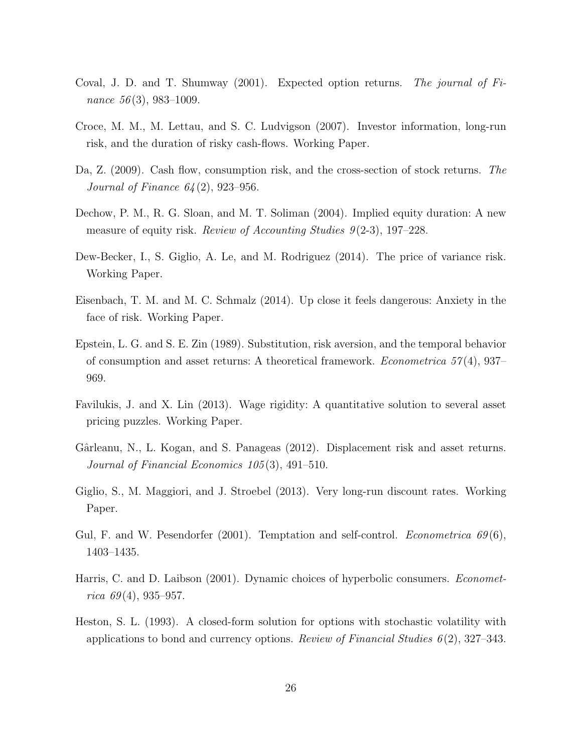- <span id="page-26-11"></span>Coval, J. D. and T. Shumway (2001). Expected option returns. *The journal of Finance 56* (3), 983–1009.
- <span id="page-26-6"></span>Croce, M. M., M. Lettau, and S. C. Ludvigson (2007). Investor information, long-run risk, and the duration of risky cash-flows. Working Paper.
- <span id="page-26-9"></span>Da, Z. (2009). Cash flow, consumption risk, and the cross-section of stock returns. *The Journal of Finance 64* (2), 923–956.
- <span id="page-26-8"></span>Dechow, P. M., R. G. Sloan, and M. T. Soliman (2004). Implied equity duration: A new measure of equity risk. *Review of Accounting Studies 9* (2-3), 197–228.
- <span id="page-26-10"></span>Dew-Becker, I., S. Giglio, A. Le, and M. Rodriguez (2014). The price of variance risk. Working Paper.
- <span id="page-26-0"></span>Eisenbach, T. M. and M. C. Schmalz (2014). Up close it feels dangerous: Anxiety in the face of risk. Working Paper.
- <span id="page-26-1"></span>Epstein, L. G. and S. E. Zin (1989). Substitution, risk aversion, and the temporal behavior of consumption and asset returns: A theoretical framework. *Econometrica 57* (4), 937– 969.
- <span id="page-26-5"></span>Favilukis, J. and X. Lin (2013). Wage rigidity: A quantitative solution to several asset pricing puzzles. Working Paper.
- <span id="page-26-4"></span>Gârleanu, N., L. Kogan, and S. Panageas (2012). Displacement risk and asset returns. *Journal of Financial Economics 105* (3), 491–510.
- <span id="page-26-7"></span>Giglio, S., M. Maggiori, and J. Stroebel (2013). Very long-run discount rates. Working Paper.
- <span id="page-26-12"></span>Gul, F. and W. Pesendorfer (2001). Temptation and self-control. *Econometrica 69* (6), 1403–1435.
- <span id="page-26-3"></span>Harris, C. and D. Laibson (2001). Dynamic choices of hyperbolic consumers. *Econometrica 69* (4), 935–957.
- <span id="page-26-2"></span>Heston, S. L. (1993). A closed-form solution for options with stochastic volatility with applications to bond and currency options. *Review of Financial Studies 6* (2), 327–343.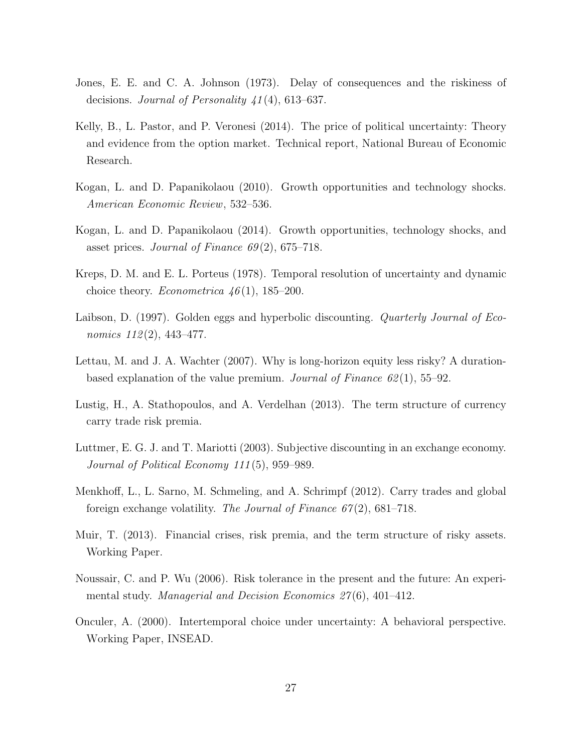- <span id="page-27-2"></span>Jones, E. E. and C. A. Johnson (1973). Delay of consequences and the riskiness of decisions. *Journal of Personality 41* (4), 613–637.
- <span id="page-27-12"></span>Kelly, B., L. Pastor, and P. Veronesi (2014). The price of political uncertainty: Theory and evidence from the option market. Technical report, National Bureau of Economic Research.
- <span id="page-27-8"></span>Kogan, L. and D. Papanikolaou (2010). Growth opportunities and technology shocks. *American Economic Review*, 532–536.
- <span id="page-27-9"></span>Kogan, L. and D. Papanikolaou (2014). Growth opportunities, technology shocks, and asset prices. *Journal of Finance 69* (2), 675–718.
- <span id="page-27-1"></span>Kreps, D. M. and E. L. Porteus (1978). Temporal resolution of uncertainty and dynamic choice theory. *Econometrica 46* (1), 185–200.
- <span id="page-27-0"></span>Laibson, D. (1997). Golden eggs and hyperbolic discounting. *Quarterly Journal of Economics 112* (2), 443–477.
- <span id="page-27-5"></span>Lettau, M. and J. A. Wachter (2007). Why is long-horizon equity less risky? A durationbased explanation of the value premium. *Journal of Finance 62* (1), 55–92.
- <span id="page-27-10"></span>Lustig, H., A. Stathopoulos, and A. Verdelhan (2013). The term structure of currency carry trade risk premia.
- <span id="page-27-6"></span>Luttmer, E. G. J. and T. Mariotti (2003). Subjective discounting in an exchange economy. *Journal of Political Economy 111* (5), 959–989.
- <span id="page-27-11"></span>Menkhoff, L., L. Sarno, M. Schmeling, and A. Schrimpf (2012). Carry trades and global foreign exchange volatility. *The Journal of Finance 67* (2), 681–718.
- <span id="page-27-7"></span>Muir, T. (2013). Financial crises, risk premia, and the term structure of risky assets. Working Paper.
- <span id="page-27-4"></span>Noussair, C. and P. Wu (2006). Risk tolerance in the present and the future: An experimental study. *Managerial and Decision Economics 27* (6), 401–412.
- <span id="page-27-3"></span>Onculer, A. (2000). Intertemporal choice under uncertainty: A behavioral perspective. Working Paper, INSEAD.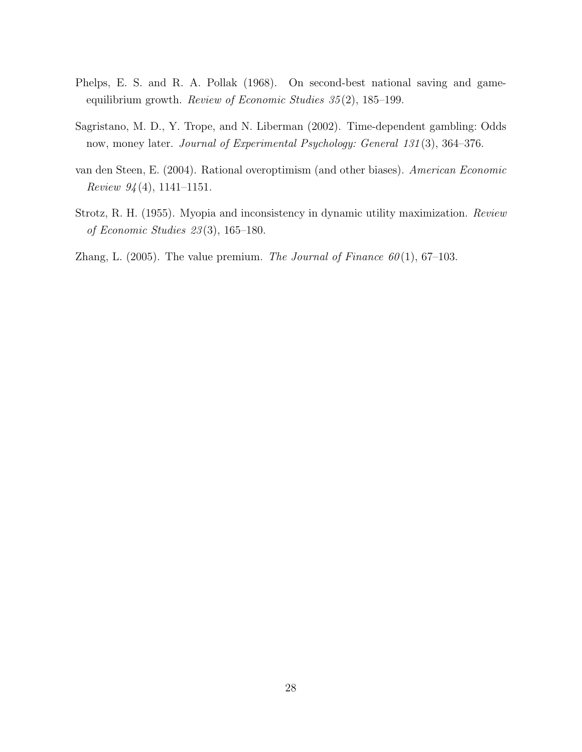- <span id="page-28-0"></span>Phelps, E. S. and R. A. Pollak (1968). On second-best national saving and gameequilibrium growth. *Review of Economic Studies 35* (2), 185–199.
- <span id="page-28-2"></span>Sagristano, M. D., Y. Trope, and N. Liberman (2002). Time-dependent gambling: Odds now, money later. *Journal of Experimental Psychology: General 131* (3), 364–376.
- <span id="page-28-3"></span>van den Steen, E. (2004). Rational overoptimism (and other biases). *American Economic Review 94* (4), 1141–1151.
- <span id="page-28-1"></span>Strotz, R. H. (1955). Myopia and inconsistency in dynamic utility maximization. *Review of Economic Studies 23* (3), 165–180.
- <span id="page-28-4"></span>Zhang, L.  $(2005)$ . The value premium. *The Journal of Finance 60* $(1)$ , 67–103.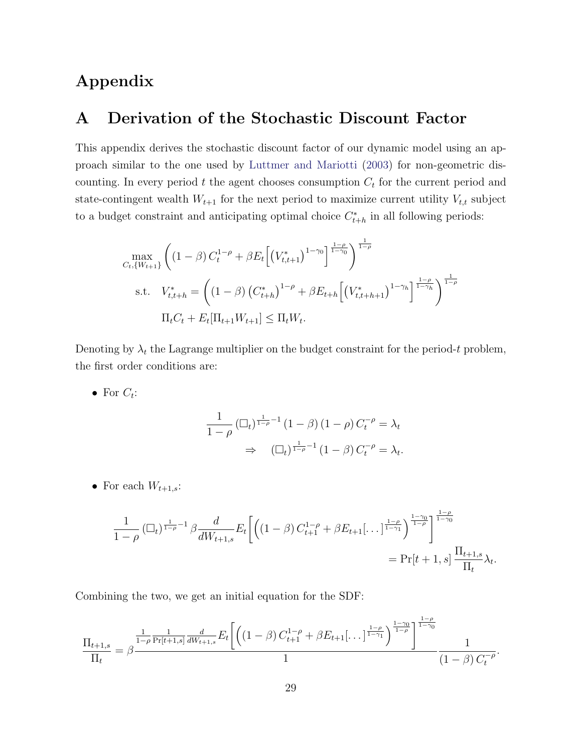# Appendix

# <span id="page-29-0"></span>A Derivation of the Stochastic Discount Factor

This appendix derives the stochastic discount factor of our dynamic model using an approach similar to the one used by [Luttmer and Mariotti](#page-27-6) [\(2003\)](#page-27-6) for non-geometric discounting. In every period *t* the agent chooses consumption *C<sup>t</sup>* for the current period and state-contingent wealth  $W_{t+1}$  for the next period to maximize current utility  $V_{t,t}$  subject to a budget constraint and anticipating optimal choice  $C_{t+h}^*$  in all following periods:

$$
\max_{C_t, \{W_{t+1}\}} \left( (1 - \beta) C_t^{1-\rho} + \beta E_t \left[ \left( V_{t,t+1}^* \right)^{1-\gamma_0} \right]^{\frac{1-\rho}{1-\gamma_0}} \right)^{\frac{1}{1-\rho}}
$$
\ns.t. 
$$
V_{t,t+h}^* = \left( (1 - \beta) \left( C_{t+h}^* \right)^{1-\rho} + \beta E_{t+h} \left[ \left( V_{t,t+h+1}^* \right)^{1-\gamma_h} \right]^{\frac{1-\rho}{1-\gamma_h}} \right)^{\frac{1}{1-\rho}}
$$
\n
$$
\Pi_t C_t + E_t \left[ \Pi_{t+1} W_{t+1} \right] \leq \Pi_t W_t.
$$

Denoting by  $\lambda_t$  the Lagrange multiplier on the budget constraint for the period-t problem, the first order conditions are:

• For  $C_t$ :

$$
\frac{1}{1-\rho} \left( \Box_t \right)^{\frac{1}{1-\rho}-1} (1-\beta) (1-\rho) C_t^{-\rho} = \lambda_t
$$
  

$$
\Rightarrow \left( \Box_t \right)^{\frac{1}{1-\rho}-1} (1-\beta) C_t^{-\rho} = \lambda_t.
$$

• For each  $W_{t+1,s}$ :

$$
\frac{1}{1-\rho} \left( \Box_t \right)^{\frac{1}{1-\rho}-1} \beta \frac{d}{dW_{t+1,s}} E_t \left[ \left( (1-\beta) C_{t+1}^{1-\rho} + \beta E_{t+1} \left[ \dots \right]^{\frac{1-\rho}{1-\gamma_1}} \right)^{\frac{1-\gamma_0}{1-\gamma_0}} \right]^{ \frac{1-\rho}{1-\gamma_0}} = \Pr[t+1,s] \frac{\Pi_{t+1,s}}{\Pi_t} \lambda_t.
$$

Combining the two, we get an initial equation for the SDF:

$$
\frac{\Pi_{t+1,s}}{\Pi_t} = \beta \frac{\frac{1}{1-\rho} \frac{1}{\Pr[t+1,s]} \frac{d}{dW_{t+1,s}} E_t \left[ \left( (1-\beta) C_{t+1}^{1-\rho} + \beta E_{t+1} \left[ \dots \right]_{\frac{1-\rho}{1-\gamma_1}} \right)^{\frac{1-\rho}{1-\gamma_0}} \right]}{\frac{1}{(1-\beta) C_t^{-\rho}}}.
$$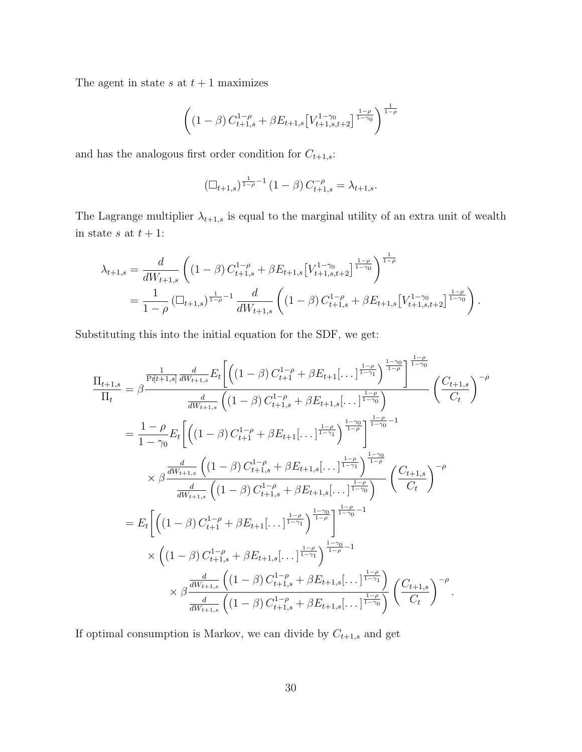The agent in state  $s$  at  $t + 1$  maximizes

$$
\left( \left(1 - \beta\right) C_{t+1,s}^{1-\rho} + \beta E_{t+1,s} \left[V_{t+1,s,t+2}^{1-\gamma_0}\right]^{\frac{1-\rho}{1-\gamma_0}} \right)^{\frac{1}{1-\rho}}
$$

and has the analogous first order condition for  $C_{t+1,s}$ :

$$
\left(\Box_{t+1,s}\right)^{\frac{1}{1-\rho}-1}(1-\beta)\,C_{t+1,s}^{-\rho}=\lambda_{t+1,s}.
$$

The Lagrange multiplier  $\lambda_{t+1,s}$  is equal to the marginal utility of an extra unit of wealth in state *s* at  $t + 1$ :

$$
\lambda_{t+1,s} = \frac{d}{dW_{t+1,s}} \left( (1-\beta) C_{t+1,s}^{1-\rho} + \beta E_{t+1,s} \left[ V_{t+1,s,t+2}^{1-\gamma_0} \right]^{\frac{1-\rho}{1-\gamma_0}} \right)^{\frac{1}{1-\rho}}
$$
  
= 
$$
\frac{1}{1-\rho} \left( \Box_{t+1,s} \right)^{\frac{1}{1-\rho}-1} \frac{d}{dW_{t+1,s}} \left( (1-\beta) C_{t+1,s}^{1-\rho} + \beta E_{t+1,s} \left[ V_{t+1,s,t+2}^{1-\gamma_0} \right]^{\frac{1-\rho}{1-\gamma_0}} \right).
$$

Substituting this into the initial equation for the SDF, we get:

$$
\frac{\Pi_{t+1,s}}{\Pi_{t}} = \beta \frac{\frac{1}{\text{Pr}[t+1,s]} \frac{d}{dW_{t+1,s}} E_{t} \left[ \left( (1-\beta) C_{t+1}^{1-\rho} + \beta E_{t+1} [\dots]_{1-\gamma_{1}}^{\frac{1-\rho}{1-\gamma_{1}}} \right)^{\frac{1-\rho}{1-\rho}} \right]^{\frac{1-\rho}{1-\gamma_{0}}} \left( \frac{C_{t+1,s}}{C_{t}} \right)^{-\rho}}{\frac{d}{dW_{t+1,s}}} \left( (1-\beta) C_{t+1,s}^{1-\rho} + \beta E_{t+1} [\dots]_{1-\gamma_{1}}^{\frac{1-\rho}{1-\gamma_{0}}} \right) \left( \frac{C_{t+1,s}}{C_{t}} \right)^{-\rho}} \right)
$$
\n
$$
= \frac{1-\rho}{1-\gamma_{0}} E_{t} \left[ \left( (1-\beta) C_{t+1}^{1-\rho} + \beta E_{t+1} [\dots]_{1-\gamma_{1}}^{\frac{1-\rho}{1-\gamma_{1}}} \right)^{\frac{1-\gamma_{0}}{1-\gamma_{0}}} \right]^{\frac{1-\rho}{1-\gamma_{0}}-1}
$$
\n
$$
\times \beta \frac{\frac{d}{dW_{t+1,s}} \left( (1-\beta) C_{t+1,s}^{1-\rho} + \beta E_{t+1,s} [\dots]_{1-\gamma_{1}}^{\frac{1-\rho}{1-\gamma_{1}}} \right)^{\frac{1-\gamma_{0}}{1-\gamma_{0}}} \left( \frac{C_{t+1,s}}{C_{t}} \right)^{-\rho}}{\frac{d}{dW_{t+1,s}} \left( (1-\beta) C_{t+1}^{1-\rho} + \beta E_{t+1} [\dots]_{1-\gamma_{1}}^{\frac{1-\rho}{1-\gamma_{1}}} \right)^{\frac{1-\gamma_{0}}{1-\gamma_{0}}-1}} \times \left( (1-\beta) C_{t+1,s}^{1-\rho} + \beta E_{t+1,s} [\dots]_{1-\gamma_{1}}^{\frac{1-\rho}{1-\gamma_{0}}-1} \right) \times \beta \frac{\frac{d}{dW_{t+1,s}} \left( (1-\beta) C_{t+1,s}^{1-\rho} + \beta E_{t+1,s} [\dots]_{1-\gamma_{1}}^{\frac{1-\rho}{1-\gamma_{0}}} \right)}{\frac{d}{dW_{t+1,s}} \left( (1-\beta) C_{t+1,s}^{1-\
$$

If optimal consumption is Markov, we can divide by  $C_{t+1,s}$  and get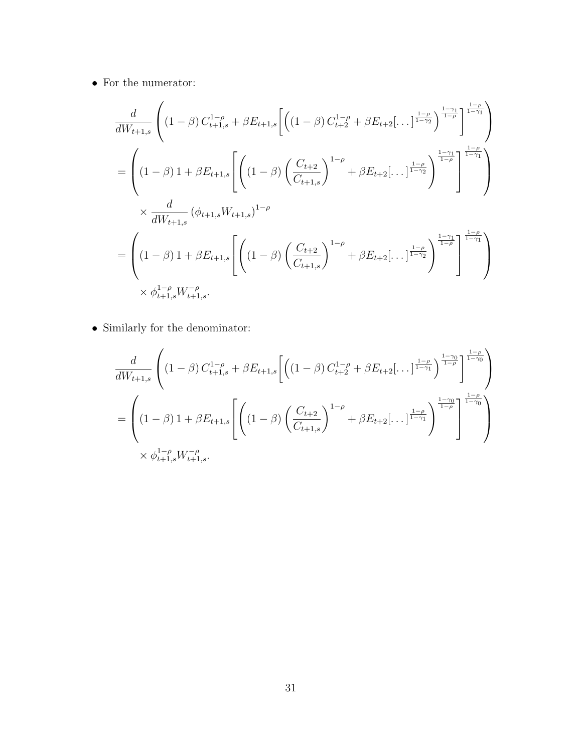*•* For the numerator:

$$
\frac{d}{dW_{t+1,s}} \left( (1-\beta) C_{t+1,s}^{1-\rho} + \beta E_{t+1,s} \left[ \left( (1-\beta) C_{t+2}^{1-\rho} + \beta E_{t+2} [\dots]_{\frac{1-\rho}{1-\gamma_2}}^{\frac{1-\rho}{1-\rho}} \right)^{\frac{1-\rho}{1-\rho}} \right]^{\frac{1-\rho}{1-\gamma_1}} \right)
$$
\n
$$
= \left( (1-\beta) 1 + \beta E_{t+1,s} \left[ \left( (1-\beta) \left( \frac{C_{t+2}}{C_{t+1,s}} \right)^{1-\rho} + \beta E_{t+2} [\dots]_{\frac{1-\rho}{1-\gamma_2}}^{\frac{1-\rho}{1-\rho}} \right)^{\frac{1-\gamma_1}{1-\gamma_1}} \right]
$$
\n
$$
\times \frac{d}{dW_{t+1,s}} (\phi_{t+1,s} W_{t+1,s})^{1-\rho}
$$
\n
$$
= \left( (1-\beta) 1 + \beta E_{t+1,s} \left[ \left( (1-\beta) \left( \frac{C_{t+2}}{C_{t+1,s}} \right)^{1-\rho} + \beta E_{t+2} [\dots]_{\frac{1-\rho}{1-\gamma_2}}^{\frac{1-\rho}{1-\rho}} \right)^{\frac{1-\gamma_1}{1-\gamma_1}} \right]
$$
\n
$$
\times \phi_{t+1,s}^{1-\rho} W_{t+1,s}^{-\rho}.
$$

*•* Similarly for the denominator:

$$
\frac{d}{dW_{t+1,s}} \left( (1-\beta) C_{t+1,s}^{1-\rho} + \beta E_{t+1,s} \left[ \left( (1-\beta) C_{t+2}^{1-\rho} + \beta E_{t+2} \left[ \dots \right]_{\frac{1-\rho}{1-\gamma_1}}^{\frac{1-\rho}{1-\gamma_1}} \right]_{\frac{1-\rho}{1-\gamma_0}}^{\frac{1-\rho}{1-\gamma_0}} \right] \right)
$$
\n
$$
= \left( (1-\beta) 1 + \beta E_{t+1,s} \left[ \left( (1-\beta) \left( \frac{C_{t+2}}{C_{t+1,s}} \right)_{\frac{1-\rho}{1-\gamma_1}} + \beta E_{t+2} \left[ \dots \right]_{\frac{1-\rho}{1-\gamma_1}}^{\frac{1-\gamma_0}{1-\gamma_1}} \right]_{\frac{1-\gamma_0}{1-\gamma_0}}^{\frac{1-\gamma_0}{1-\gamma_0}} \right] \right)
$$
\n
$$
\times \phi_{t+1,s}^{1-\rho} W_{t+1,s}^{-\rho}.
$$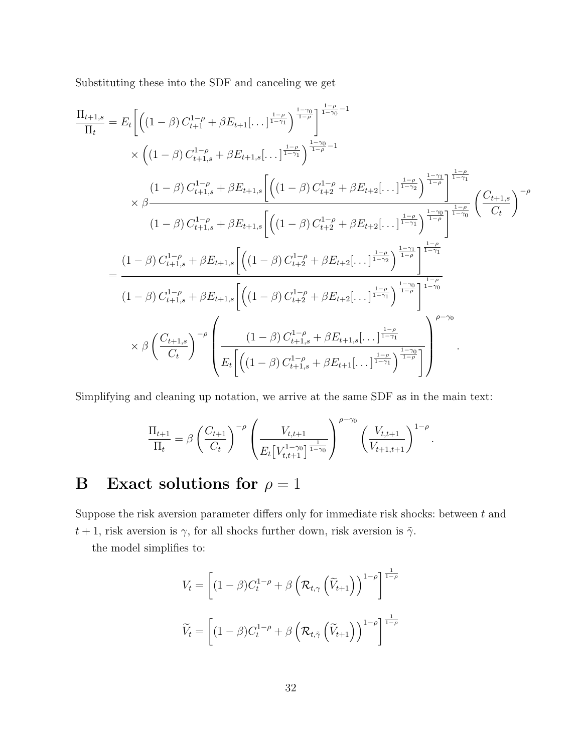Substituting these into the SDF and canceling we get

$$
\frac{\Pi_{t+1,s}}{\Pi_{t}} = E_{t} \Bigg[ \Big( (1-\beta) C_{t+1}^{1-\rho} + \beta E_{t+1}[\dots]_{\frac{1-\rho}{1-\gamma_{1}}}^{\frac{1-\rho}{1-\gamma_{1}}} \Big)^{\frac{1-\gamma_{0}}{1-\rho}-1} \times \Big( (1-\beta) C_{t+1,s}^{1-\rho} + \beta E_{t+1,s}[\dots]_{\frac{1-\gamma}{1-\gamma_{1}}}^{\frac{1-\gamma_{0}}{1-\rho}-1} \Bigg)^{\frac{1-\gamma_{0}}{1-\rho}-1} \times \beta \Bigg] \times \beta \frac{\left( 1-\beta \right) C_{t+1,s}^{1-\rho} + \beta E_{t+1,s} \Bigg[ \Big( (1-\beta) C_{t+2}^{1-\rho} + \beta E_{t+2}[\dots]_{\frac{1-\rho}{1-\gamma_{1}}}^{\frac{1-\rho}{1-\gamma_{1}}} \Big)^{\frac{1-\gamma_{1}}{1-\gamma_{1}}} \Bigg]^{\frac{1-\gamma_{1}}{1-\gamma_{1}}} \Bigg( \frac{C_{t+1,s}}{C_{t}} \Bigg)^{-\rho} \Bigg( 1-\beta) C_{t+1,s}^{1-\rho} + \beta E_{t+1,s} \Bigg[ \Big( (1-\beta) C_{t+2}^{1-\rho} + \beta E_{t+2}[\dots]_{\frac{1-\rho}{1-\gamma_{1}}}^{\frac{1-\rho}{1-\gamma_{1}}} \Bigg)^{\frac{1-\gamma_{0}}{1-\gamma_{0}}} \Bigg]^{\frac{1-\gamma_{0}}{1-\gamma_{0}}} \Bigg]^{1-\gamma_{1}} \Bigg] \times \beta \Bigg( \frac{C_{t+1,s}}{C_{t}} \Bigg)^{-\rho} \Bigg( \frac{(1-\beta) C_{t+2,s}^{1-\rho} + \beta E_{t+2}[\dots]_{\frac{1-\rho}{1-\gamma_{1}}}^{\frac{1-\rho}{1-\gamma_{1}}} \Bigg)^{\frac{1-\gamma_{0}}{1-\gamma_{1}}} \Bigg)^{\frac{1-\gamma_{0}}{1-\gamma_{0}}} \Bigg)^{\frac{1-\gamma_{0}}{1-\gamma_{0}}} \times \beta \Bigg( \frac{C_{t+1,s}}{C_{t}} \Bigg)^{-\rho} \Bigg( \frac{(1-\beta) C_{t+1,s}^{1-\rho} + \beta E_{t+1,s}[\dots]_{\frac{1-\rho}{1-\gamma_{1}}}^{\frac{1-\rho}{1-\gamma_{1
$$

Simplifying and cleaning up notation, we arrive at the same SDF as in the main text:

$$
\frac{\Pi_{t+1}}{\Pi_t} = \beta \left( \frac{C_{t+1}}{C_t} \right)^{-\rho} \left( \frac{V_{t,t+1}}{E_t \left[ V_{t,t+1}^{1-\gamma_0} \right]^{\frac{1}{1-\gamma_0}}} \right)^{\rho-\gamma_0} \left( \frac{V_{t,t+1}}{V_{t+1,t+1}} \right)^{1-\rho}.
$$

# B Exact solutions for  $\rho = 1$

Suppose the risk aversion parameter differs only for immediate risk shocks: between  $t$  and  $t + 1$ , risk aversion is  $\gamma$ , for all shocks further down, risk aversion is  $\tilde{\gamma}$ .

the model simplifies to:

$$
V_t = \left[ (1 - \beta) C_t^{1 - \rho} + \beta \left( \mathcal{R}_{t, \gamma} \left( \widetilde{V}_{t+1} \right) \right)^{1 - \rho} \right]^{\frac{1}{1 - \rho}}
$$

$$
\widetilde{V}_t = \left[ (1 - \beta) C_t^{1 - \rho} + \beta \left( \mathcal{R}_{t, \tilde{\gamma}} \left( \widetilde{V}_{t+1} \right) \right)^{1 - \rho} \right]^{\frac{1}{1 - \rho}}
$$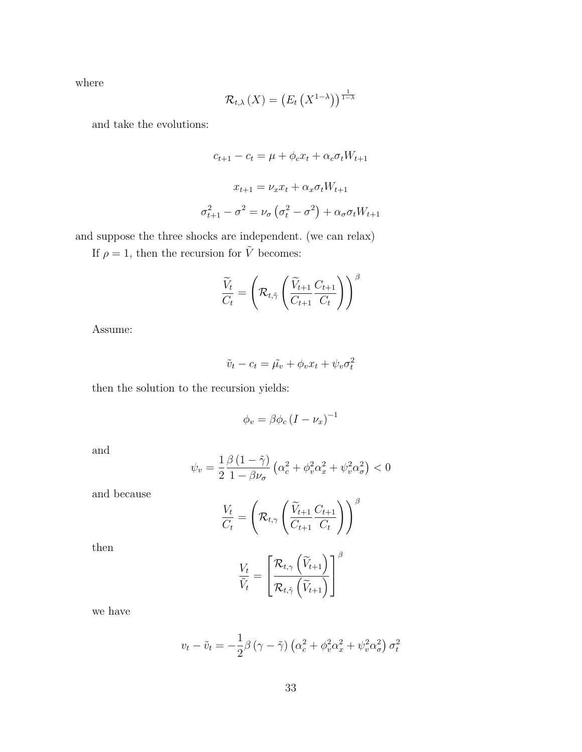where

$$
\mathcal{R}_{t,\lambda}\left(X\right)=\left(E_t\left(X^{1-\lambda}\right)\right)^{\frac{1}{1-\lambda}}
$$

and take the evolutions:

$$
c_{t+1} - c_t = \mu + \phi_c x_t + \alpha_c \sigma_t W_{t+1}
$$

$$
x_{t+1} = \nu_x x_t + \alpha_x \sigma_t W_{t+1}
$$

$$
\sigma_{t+1}^2 - \sigma^2 = \nu_\sigma \left(\sigma_t^2 - \sigma^2\right) + \alpha_\sigma \sigma_t W_{t+1}
$$

and suppose the three shocks are independent. (we can relax)

If  $\rho=1,$  then the recursion for  $\tilde{V}$  becomes:

$$
\frac{\widetilde{V}_t}{C_t} = \left(\mathcal{R}_{t,\tilde{\gamma}}\left(\frac{\widetilde{V}_{t+1}}{C_{t+1}}\frac{C_{t+1}}{C_t}\right)\right)^{\beta}
$$

Assume:

$$
\tilde{v}_t - c_t = \tilde{\mu_v} + \phi_v x_t + \psi_v \sigma_t^2
$$

then the solution to the recursion yields:

$$
\phi_v = \beta \phi_c \left( I - \nu_x \right)^{-1}
$$

and

$$
\psi_v = \frac{1}{2} \frac{\beta \left(1 - \tilde{\gamma}\right)}{1 - \beta \nu_\sigma} \left(\alpha_c^2 + \phi_v^2 \alpha_x^2 + \psi_v^2 \alpha_\sigma^2\right) < 0
$$

and because

$$
\frac{V_t}{C_t} = \left(\mathcal{R}_{t,\gamma}\left(\frac{\widetilde{V}_{t+1}}{C_{t+1}}\frac{C_{t+1}}{C_t}\right)\right)^{\beta}
$$

then

$$
\frac{V_t}{\tilde{V}_t} = \left[\frac{\mathcal{R}_{t,\gamma}\left(\widetilde{V}_{t+1}\right)}{\mathcal{R}_{t,\tilde{\gamma}}\left(\widetilde{V}_{t+1}\right)}\right]^{\beta}
$$

we have

$$
v_t - \tilde{v}_t = -\frac{1}{2}\beta \left(\gamma - \tilde{\gamma}\right) \left(\alpha_c^2 + \phi_v^2 \alpha_x^2 + \psi_v^2 \alpha_\sigma^2\right) \sigma_t^2
$$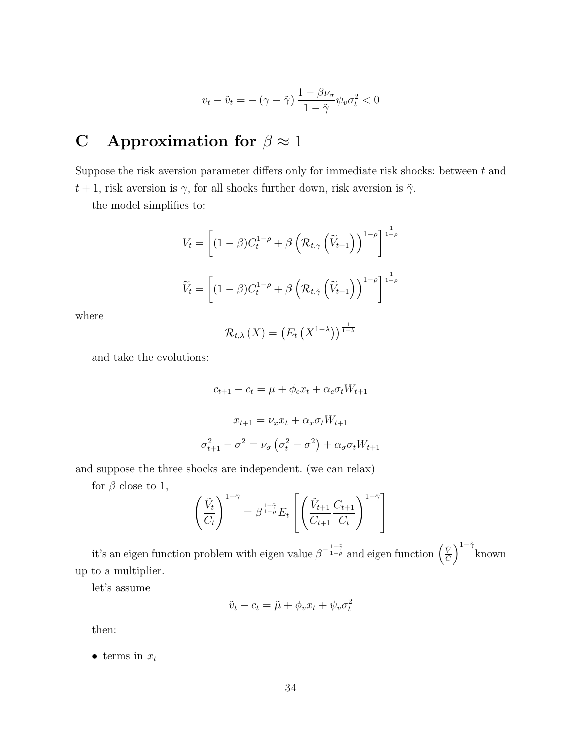$$
v_t - \tilde{v}_t = -(\gamma - \tilde{\gamma}) \frac{1 - \beta \nu_\sigma}{1 - \tilde{\gamma}} \psi_v \sigma_t^2 < 0
$$

# C Approximation for  $\beta \approx 1$

Suppose the risk aversion parameter differs only for immediate risk shocks: between  $t$  and  $t + 1$ , risk aversion is  $\gamma$ , for all shocks further down, risk aversion is  $\tilde{\gamma}$ .

the model simplifies to:

$$
V_t = \left[ (1 - \beta) C_t^{1-\rho} + \beta \left( \mathcal{R}_{t,\gamma} \left( \widetilde{V}_{t+1} \right) \right)^{1-\rho} \right]^{\frac{1}{1-\rho}}
$$

$$
\widetilde{V}_t = \left[ (1 - \beta) C_t^{1-\rho} + \beta \left( \mathcal{R}_{t,\tilde{\gamma}} \left( \widetilde{V}_{t+1} \right) \right)^{1-\rho} \right]^{\frac{1}{1-\rho}}
$$

where

$$
\mathcal{R}_{t,\lambda}\left(X\right)=\left(E_t\left(X^{1-\lambda}\right)\right)^{\frac{1}{1-\lambda}}
$$

and take the evolutions:

$$
c_{t+1} - c_t = \mu + \phi_c x_t + \alpha_c \sigma_t W_{t+1}
$$

$$
x_{t+1} = \nu_x x_t + \alpha_x \sigma_t W_{t+1}
$$

$$
\sigma_{t+1}^2 - \sigma^2 = \nu_\sigma \left(\sigma_t^2 - \sigma^2\right) + \alpha_\sigma \sigma_t W_{t+1}
$$

and suppose the three shocks are independent. (we can relax)

for  $\beta$  close to 1,

$$
\left(\frac{\tilde{V}_t}{C_t}\right)^{1-\tilde{\gamma}} = \beta^{\frac{1-\tilde{\gamma}}{1-\rho}} E_t \left[ \left(\frac{\tilde{V}_{t+1}}{C_{t+1}} \frac{C_{t+1}}{C_t}\right)^{1-\tilde{\gamma}} \right]
$$

it's an eigen function problem with eigen value  $\beta^{-\frac{1-\tilde{\gamma}}{1-\rho}}$  and eigen function  $\left(\frac{\tilde{V}}{C}\right)$ *C*  $\int^{1-\tilde{\gamma}}$ known up to a multiplier.

let's assume

$$
\tilde{v}_t - c_t = \tilde{\mu} + \phi_v x_t + \psi_v \sigma_t^2
$$

then:

*•* terms in *x<sup>t</sup>*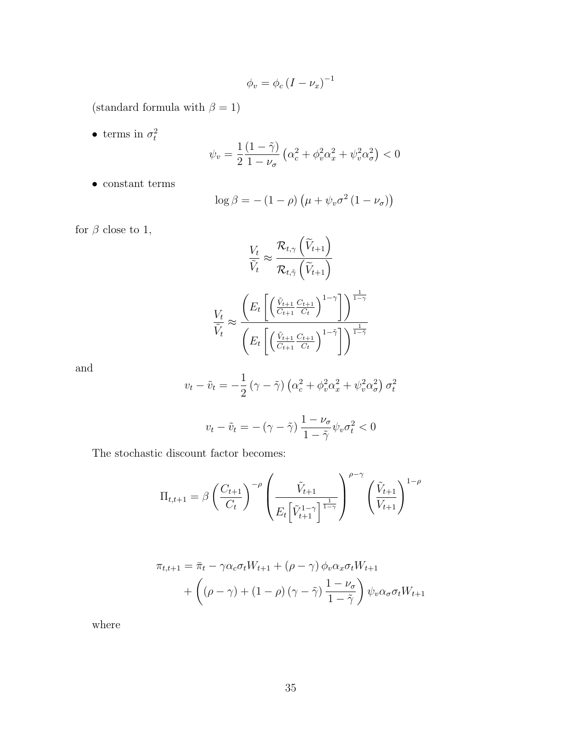$$
\phi_v = \phi_c \left( I - \nu_x \right)^{-1}
$$

(standard formula with  $\beta=1)$ 

• terms in  $\sigma_t^2$ 

$$
\psi_v = \frac{1}{2} \frac{(1 - \tilde{\gamma})}{1 - \nu_\sigma} \left( \alpha_c^2 + \phi_v^2 \alpha_x^2 + \psi_v^2 \alpha_\sigma^2 \right) < 0
$$

*•* constant terms

$$
\log \beta = - (1 - \rho) \left( \mu + \psi_v \sigma^2 (1 - \nu_\sigma) \right)
$$

for  $\beta$  close to 1,

$$
\frac{V_t}{\tilde{V}_t} \approx \frac{\mathcal{R}_{t,\gamma}(\tilde{V}_{t+1})}{\mathcal{R}_{t,\tilde{\gamma}}(\tilde{V}_{t+1})}
$$
\n
$$
\frac{V_t}{\tilde{V}_t} \approx \frac{\left(E_t \left[ \left(\frac{\tilde{V}_{t+1}}{C_{t+1}} \frac{C_{t+1}}{C_t} \right)^{1-\gamma} \right] \right)^{\frac{1}{1-\gamma}}}{\left(E_t \left[ \left(\frac{\tilde{V}_{t+1}}{C_{t+1}} \frac{C_{t+1}}{C_t} \right)^{1-\tilde{\gamma}} \right] \right)^{\frac{1}{1-\tilde{\gamma}}}}
$$

and

$$
v_t - \tilde{v}_t = -\frac{1}{2} (\gamma - \tilde{\gamma}) \left( \alpha_c^2 + \phi_v^2 \alpha_x^2 + \psi_v^2 \alpha_\sigma^2 \right) \sigma_t^2
$$

$$
v_t - \tilde{v}_t = -(\gamma - \tilde{\gamma}) \frac{1 - \nu_\sigma}{1 - \tilde{\gamma}} \psi_v \sigma_t^2 < 0
$$

The stochastic discount factor becomes:

$$
\Pi_{t,t+1} = \beta \left( \frac{C_{t+1}}{C_t} \right)^{-\rho} \left( \frac{\tilde{V}_{t+1}}{E_t \left[ \tilde{V}_{t+1}^{1-\gamma} \right]^{\frac{1}{1-\gamma}}} \right)^{\rho-\gamma} \left( \frac{\tilde{V}_{t+1}}{V_{t+1}} \right)^{1-\rho}
$$

$$
\pi_{t,t+1} = \bar{\pi}_t - \gamma \alpha_c \sigma_t W_{t+1} + (\rho - \gamma) \phi_v \alpha_x \sigma_t W_{t+1}
$$

$$
+ \left( (\rho - \gamma) + (1 - \rho) (\gamma - \tilde{\gamma}) \frac{1 - \nu_\sigma}{1 - \tilde{\gamma}} \right) \psi_v \alpha_\sigma \sigma_t W_{t+1}
$$

where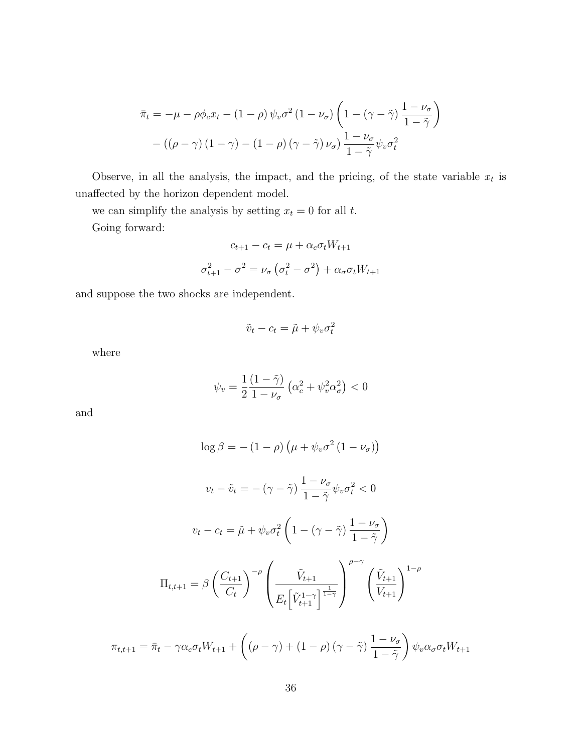$$
\bar{\pi}_t = -\mu - \rho \phi_c x_t - (1 - \rho) \psi_v \sigma^2 (1 - \nu_\sigma) \left( 1 - (\gamma - \tilde{\gamma}) \frac{1 - \nu_\sigma}{1 - \tilde{\gamma}} \right)
$$

$$
- ((\rho - \gamma) (1 - \gamma) - (1 - \rho) (\gamma - \tilde{\gamma}) \nu_\sigma) \frac{1 - \nu_\sigma}{1 - \tilde{\gamma}} \psi_v \sigma_t^2
$$

Observe, in all the analysis, the impact, and the pricing, of the state variable  $x_t$  is unaffected by the horizon dependent model.

we can simplify the analysis by setting  $x_t = 0$  for all  $t$ . Going forward:

$$
c_{t+1} - c_t = \mu + \alpha_c \sigma_t W_{t+1}
$$

$$
\sigma_{t+1}^2 - \sigma^2 = \nu_\sigma \left(\sigma_t^2 - \sigma^2\right) + \alpha_\sigma \sigma_t W_{t+1}
$$

and suppose the two shocks are independent.

$$
\tilde{v}_t - c_t = \tilde{\mu} + \psi_v \sigma_t^2
$$

where

$$
\psi_v = \frac{1}{2} \frac{(1 - \tilde{\gamma})}{1 - \nu_\sigma} \left( \alpha_c^2 + \psi_v^2 \alpha_\sigma^2 \right) < 0
$$

and

$$
\log \beta = -(1 - \rho) \left(\mu + \psi_v \sigma^2 (1 - \nu_\sigma)\right)
$$
  

$$
v_t - \tilde{v}_t = -(\gamma - \tilde{\gamma}) \frac{1 - \nu_\sigma}{1 - \tilde{\gamma}} \psi_v \sigma_t^2 < 0
$$
  

$$
v_t - c_t = \tilde{\mu} + \psi_v \sigma_t^2 \left(1 - (\gamma - \tilde{\gamma}) \frac{1 - \nu_\sigma}{1 - \tilde{\gamma}}\right)
$$
  

$$
\Pi_{t,t+1} = \beta \left(\frac{C_{t+1}}{C_t}\right)^{-\rho} \left(\frac{\tilde{V}_{t+1}}{E_t \left[\tilde{V}_{t+1}^{1 - \gamma}\right]^{\frac{1}{1 - \gamma}}}\right)^{\rho - \gamma} \left(\frac{\tilde{V}_{t+1}}{V_{t+1}}\right)^{1 - \rho}
$$

$$
\pi_{t,t+1} = \bar{\pi}_t - \gamma \alpha_c \sigma_t W_{t+1} + \left( (\rho - \gamma) + (1 - \rho) (\gamma - \tilde{\gamma}) \frac{1 - \nu_\sigma}{1 - \tilde{\gamma}} \right) \psi_v \alpha_\sigma \sigma_t W_{t+1}
$$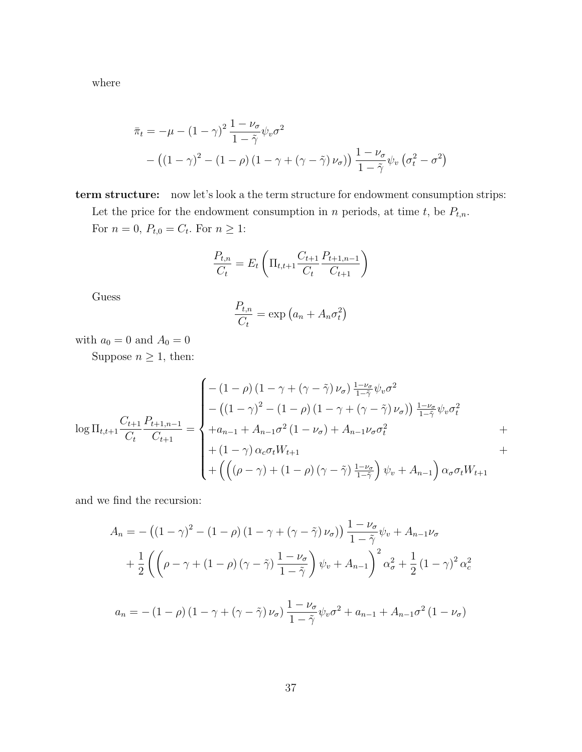where

$$
\bar{\pi}_t = -\mu - (1 - \gamma)^2 \frac{1 - \nu_\sigma}{1 - \tilde{\gamma}} \psi_v \sigma^2
$$

$$
- ((1 - \gamma)^2 - (1 - \rho) (1 - \gamma + (\gamma - \tilde{\gamma}) \nu_\sigma)) \frac{1 - \nu_\sigma}{1 - \tilde{\gamma}} \psi_v (\sigma_t^2 - \sigma^2)
$$

term structure: now let's look a the term structure for endowment consumption strips:

Let the price for the endowment consumption in *n* periods, at time *t*, be  $P_{t,n}$ . For  $n = 0$ ,  $P_{t,0} = C_t$ . For  $n \geq 1$ :

$$
\frac{P_{t,n}}{C_t} = E_t \left( \Pi_{t,t+1} \frac{C_{t+1}}{C_t} \frac{P_{t+1,n-1}}{C_{t+1}} \right)
$$

Guess

$$
\frac{P_{t,n}}{C_t} = \exp\left(a_n + A_n \sigma_t^2\right)
$$

with  $a_0=0$  and  $A_0=0$ 

Suppose  $n\geq 1,$  then:

$$
\log \Pi_{t,t+1} \frac{C_{t+1}}{C_t} \frac{P_{t+1,n-1}}{C_{t+1}} = \begin{cases} -(1-\rho)\left(1-\gamma+(\gamma-\tilde{\gamma})\nu_{\sigma}\right) \frac{1-\nu_{\sigma}}{1-\tilde{\gamma}} \psi_v \sigma^2 \\ - \left((1-\gamma)^2 - (1-\rho)\left(1-\gamma+(\gamma-\tilde{\gamma})\nu_{\sigma}\right)\right) \frac{1-\nu_{\sigma}}{1-\tilde{\gamma}} \psi_v \sigma_t^2 \\ + a_{n-1} + A_{n-1} \sigma^2 \left(1-\nu_{\sigma}\right) + A_{n-1} \nu_{\sigma} \sigma_t^2 \\ + \left(1-\gamma\right) \alpha_c \sigma_t W_{t+1} \\ + \left(\left((\rho-\gamma) + (1-\rho)\left(\gamma-\tilde{\gamma}\right) \frac{1-\nu_{\sigma}}{1-\tilde{\gamma}}\right) \psi_v + A_{n-1}\right) \alpha_{\sigma} \sigma_t W_{t+1} \end{cases}
$$

and we find the recursion:

$$
A_n = -((1 - \gamma)^2 - (1 - \rho)(1 - \gamma + (\gamma - \tilde{\gamma})\nu_{\sigma})) \frac{1 - \nu_{\sigma}}{1 - \tilde{\gamma}} \psi_v + A_{n-1}\nu_{\sigma}
$$
  
+ 
$$
\frac{1}{2} \left( \left( \rho - \gamma + (1 - \rho)(\gamma - \tilde{\gamma}) \frac{1 - \nu_{\sigma}}{1 - \tilde{\gamma}} \right) \psi_v + A_{n-1} \right)^2 \alpha_{\sigma}^2 + \frac{1}{2} (1 - \gamma)^2 \alpha_{\sigma}^2
$$

$$
a_n = -(1 - \rho) (1 - \gamma + (\gamma - \tilde{\gamma}) \nu_{\sigma}) \frac{1 - \nu_{\sigma}}{1 - \tilde{\gamma}} \psi_v \sigma^2 + a_{n-1} + A_{n-1} \sigma^2 (1 - \nu_{\sigma})
$$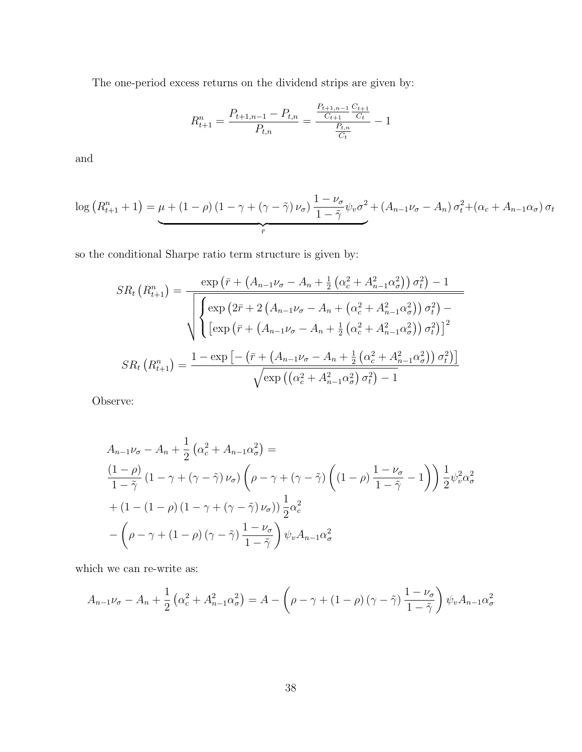The one-period excess returns on the dividend strips are given by:

$$
R_{t+1}^{n} = \frac{P_{t+1,n-1} - P_{t,n}}{P_{t,n}} = \frac{\frac{P_{t+1,n-1}}{C_{t+1}} \frac{C_{t+1}}{C_t}}{\frac{P_{t,n}}{C_t}} - 1
$$

and

$$
\log\left(R_{t+1}^n+1\right) = \underbrace{\mu + (1-\rho)\left(1-\gamma + (\gamma-\tilde{\gamma})\nu_{\sigma}\right)}_{\bar{r}} \frac{1-\nu_{\sigma}}{1-\tilde{\gamma}} \psi_{v} \sigma^2 + \left(A_{n-1}\nu_{\sigma} - A_{n}\right) \sigma_t^2 + \left(\alpha_c + A_{n-1}\alpha_{\sigma}\right) \sigma_t
$$

so the conditional Sharpe ratio term structure is given by:

$$
SR_{t} (R_{t+1}^{n}) = \frac{\exp \left(\bar{r} + \left(A_{n-1} \nu_{\sigma} - A_{n} + \frac{1}{2} \left(\alpha_{c}^{2} + A_{n-1}^{2} \alpha_{\sigma}^{2}\right)\right) \sigma_{t}^{2}\right) - 1}{\sqrt{\left[\exp \left(2\bar{r} + 2 \left(A_{n-1} \nu_{\sigma} - A_{n} + \left(\alpha_{c}^{2} + A_{n-1}^{2} \alpha_{\sigma}^{2}\right)\right) \sigma_{t}^{2}\right) - \left[\exp \left(\bar{r} + \left(A_{n-1} \nu_{\sigma} - A_{n} + \frac{1}{2} \left(\alpha_{c}^{2} + A_{n-1}^{2} \alpha_{\sigma}^{2}\right)\right) \sigma_{t}^{2}\right)\right]^{2}}
$$
\n
$$
SR_{t} (R_{t+1}^{n}) = \frac{1 - \exp \left[-\left(\bar{r} + \left(A_{n-1} \nu_{\sigma} - A_{n} + \frac{1}{2} \left(\alpha_{c}^{2} + A_{n-1}^{2} \alpha_{\sigma}^{2}\right)\right) \sigma_{t}^{2}\right)\right]}{\sqrt{\exp \left(\left(\alpha_{c}^{2} + A_{n-1}^{2} \alpha_{\sigma}^{2}\right) \sigma_{t}^{2}\right) - 1}}
$$

Observe:

$$
A_{n-1}\nu_{\sigma} - A_n + \frac{1}{2} \left( \alpha_c^2 + A_{n-1} \alpha_\sigma^2 \right) =
$$
  
\n
$$
\frac{(1-\rho)}{1-\tilde{\gamma}} \left( 1 - \gamma + (\gamma - \tilde{\gamma}) \nu_\sigma \right) \left( \rho - \gamma + (\gamma - \tilde{\gamma}) \left( (1-\rho) \frac{1-\nu_\sigma}{1-\tilde{\gamma}} - 1 \right) \right) \frac{1}{2} \psi_v^2 \alpha_\sigma^2
$$
  
\n
$$
+ \left( 1 - (1-\rho) \left( 1 - \gamma + (\gamma - \tilde{\gamma}) \nu_\sigma \right) \right) \frac{1}{2} \alpha_c^2
$$
  
\n
$$
- \left( \rho - \gamma + (1-\rho) \left( \gamma - \tilde{\gamma} \right) \frac{1-\nu_\sigma}{1-\tilde{\gamma}} \right) \psi_v A_{n-1} \alpha_\sigma^2
$$

which we can re-write as:

$$
A_{n-1}\nu_{\sigma} - A_n + \frac{1}{2} \left( \alpha_c^2 + A_{n-1}^2 \alpha_{\sigma}^2 \right) = A - \left( \rho - \gamma + (1 - \rho) \left( \gamma - \tilde{\gamma} \right) \frac{1 - \nu_{\sigma}}{1 - \tilde{\gamma}} \right) \psi_v A_{n-1} \alpha_{\sigma}^2
$$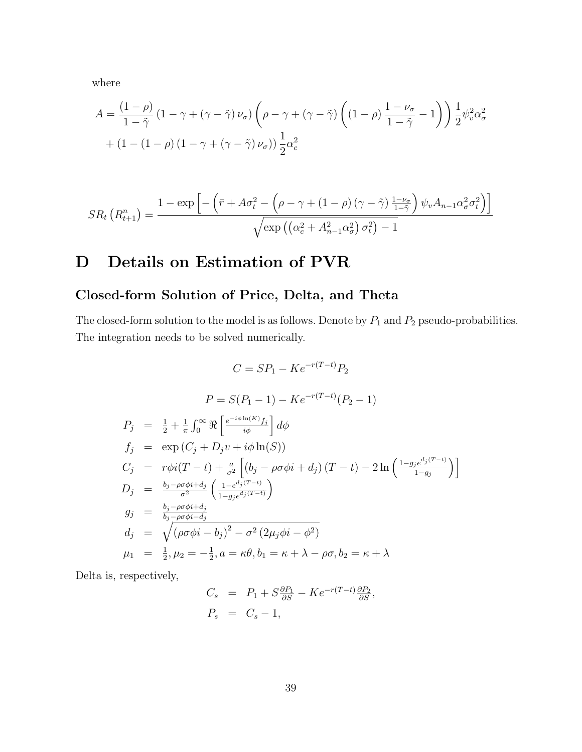where

$$
A = \frac{(1 - \rho)}{1 - \tilde{\gamma}} (1 - \gamma + (\gamma - \tilde{\gamma}) \nu_{\sigma}) \left( \rho - \gamma + (\gamma - \tilde{\gamma}) \left( (1 - \rho) \frac{1 - \nu_{\sigma}}{1 - \tilde{\gamma}} - 1 \right) \right) \frac{1}{2} \psi_{v}^{2} \alpha_{\sigma}^{2} + (1 - (1 - \rho) (1 - \gamma + (\gamma - \tilde{\gamma}) \nu_{\sigma})) \frac{1}{2} \alpha_{c}^{2}
$$

$$
SR_t\left(R_{t+1}^n\right) = \frac{1 - \exp\left[-\left(\bar{r} + A\sigma_t^2 - \left(\rho - \gamma + (1-\rho)\left(\gamma - \tilde{\gamma}\right)\frac{1-\nu_{\sigma}}{1-\tilde{\gamma}}\right)\psi_v A_{n-1} \alpha_{\sigma}^2 \sigma_t^2\right)\right]}{\sqrt{\exp\left(\left(\alpha_c^2 + A_{n-1}^2 \alpha_{\sigma}^2\right) \sigma_t^2\right) - 1}}
$$

# <span id="page-39-0"></span>D Details on Estimation of PVR

# Closed-form Solution of Price, Delta, and Theta

The closed-form solution to the model is as follows. Denote by  $P_1$  and  $P_2$  pseudo-probabilities. The integration needs to be solved numerically.

$$
C = SP_1 - Ke^{-r(T-t)}P_2
$$
  
\n
$$
P = S(P_1 - 1) - Ke^{-r(T-t)}(P_2 - 1)
$$
  
\n
$$
P_j = \frac{1}{2} + \frac{1}{\pi} \int_0^\infty \Re \left[ \frac{e^{-i\phi \ln(K)} f_j}{i\phi} \right] d\phi
$$
  
\n
$$
f_j = \exp (C_j + D_j v + i\phi \ln(S))
$$
  
\n
$$
C_j = r\phi i(T - t) + \frac{a}{\sigma^2} \left[ (b_j - \rho \sigma \phi i + d_j) (T - t) - 2 \ln \left( \frac{1 - g_j e^{d_j(T-t)}}{1 - g_j} \right) \right]
$$
  
\n
$$
D_j = \frac{b_j - \rho \sigma \phi i + d_j}{\sigma^2} \left( \frac{1 - e^{d_j(T-t)}}{1 - g_j e^{d_j(T-t)}} \right)
$$
  
\n
$$
g_j = \frac{b_j - \rho \sigma \phi i + d_j}{b_j - \rho \sigma \phi i - d_j}
$$
  
\n
$$
d_j = \sqrt{(\rho \sigma \phi i - b_j)^2 - \sigma^2 (2\mu_j \phi i - \phi^2)}
$$
  
\n
$$
\mu_1 = \frac{1}{2}, \mu_2 = -\frac{1}{2}, a = \kappa \theta, b_1 = \kappa + \lambda - \rho \sigma, b_2 = \kappa + \lambda
$$

Delta is, respectively,

$$
C_s = P_1 + S \frac{\partial P_1}{\partial S} - K e^{-r(T-t)} \frac{\partial P_2}{\partial S},
$$
  

$$
P_s = C_s - 1,
$$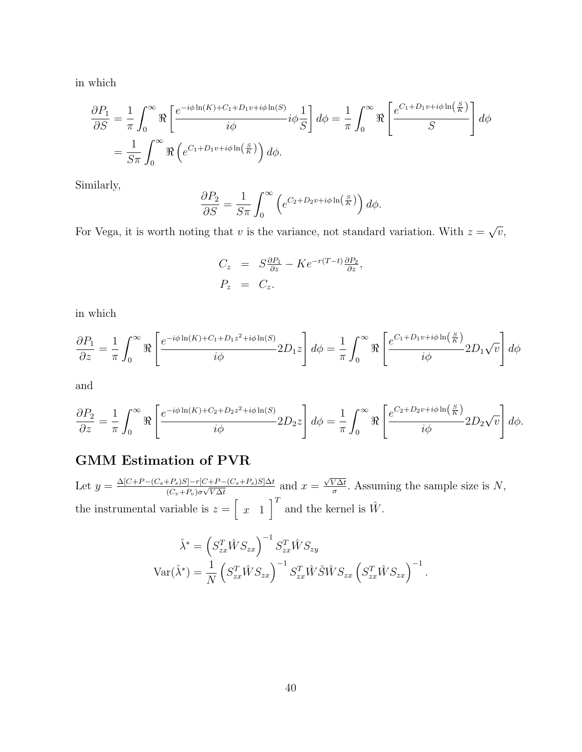in which

$$
\frac{\partial P_1}{\partial S} = \frac{1}{\pi} \int_0^\infty \Re \left[ \frac{e^{-i\phi \ln(K) + C_1 + D_1 v + i\phi \ln(S)}}{i\phi} i\phi \frac{1}{S} \right] d\phi = \frac{1}{\pi} \int_0^\infty \Re \left[ \frac{e^{C_1 + D_1 v + i\phi \ln\left(\frac{S}{K}\right)}}{S} \right] d\phi
$$
  
=  $\frac{1}{S\pi} \int_0^\infty \Re \left( e^{C_1 + D_1 v + i\phi \ln\left(\frac{S}{K}\right)} \right) d\phi.$ 

Similarly,

$$
\frac{\partial P_2}{\partial S} = \frac{1}{S\pi} \int_0^\infty \left( e^{C_2 + D_2 v + i\phi \ln\left(\frac{S}{K}\right)} \right) d\phi.
$$

For Vega, it is worth noting that *v* is the variance, not standard variation. With  $z = \sqrt{v}$ ,

$$
C_z = S \frac{\partial P_1}{\partial z} - K e^{-r(T-t)} \frac{\partial P_2}{\partial z},
$$
  
\n
$$
P_z = C_z.
$$

in which

$$
\frac{\partial P_1}{\partial z} = \frac{1}{\pi} \int_0^\infty \Re \left[ \frac{e^{-i\phi \ln(K) + C_1 + D_1 z^2 + i\phi \ln(S)}}{i\phi} 2D_1 z \right] d\phi = \frac{1}{\pi} \int_0^\infty \Re \left[ \frac{e^{C_1 + D_1 v + i\phi \ln\left(\frac{S}{K}\right)}}{i\phi} 2D_1 \sqrt{v} \right] d\phi
$$

and

$$
\frac{\partial P_2}{\partial z} = \frac{1}{\pi} \int_0^\infty \Re \left[ \frac{e^{-i\phi \ln(K) + C_2 + D_2 z^2 + i\phi \ln(S)}}{i\phi} 2D_2 z \right] d\phi = \frac{1}{\pi} \int_0^\infty \Re \left[ \frac{e^{C_2 + D_2 v + i\phi \ln\left(\frac{S}{K}\right)}}{i\phi} 2D_2 \sqrt{v} \right] d\phi.
$$

## GMM Estimation of PVR

Let  $y = \frac{\Delta[C + P - (C_s + P_s)S] - r[C + P - (C_s + P_s)S]\Delta t}{(C_v + P_v)\sigma\sqrt{V\Delta t}}$  and  $x = \frac{\sqrt{V\Delta t}}{\sigma}$ . Assuming the sample size is N, the instrumental variable is  $z = \left[\right]$ *x* 1  $\int_0^T$  and the kernel is  $\hat{W}$ .

$$
\hat{\lambda}^* = \left(S_{zx}^T \hat{W} S_{zx}\right)^{-1} S_{zx}^T \hat{W} S_{zy}
$$

$$
Var(\hat{\lambda}^*) = \frac{1}{N} \left(S_{zx}^T \hat{W} S_{zx}\right)^{-1} S_{zx}^T \hat{W} \hat{S} \hat{W} S_{zx} \left(S_{zx}^T \hat{W} S_{zx}\right)^{-1}.
$$